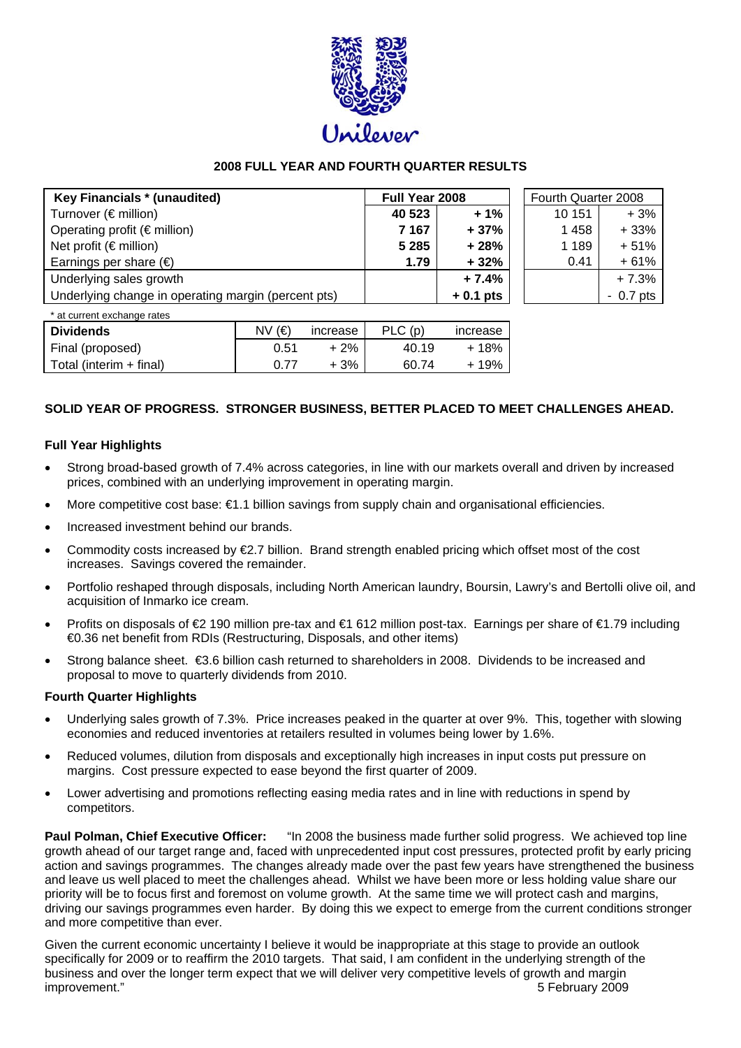

# **2008 FULL YEAR AND FOURTH QUARTER RESULTS**

| Key Financials * (unaudited)                        | Full Year 2008 |            | Fourth Quarter 2008 |            |
|-----------------------------------------------------|----------------|------------|---------------------|------------|
| Turnover (€ million)                                | 40 523         | $+1%$      | 10 151              | $+3%$      |
| Operating profit ( $\notin$ million)                | 7 1 6 7        | $+37%$     | 1458                | $+33%$     |
| Net profit ( $\notin$ million)                      | 5 2 8 5        | $+28%$     | 1 189               | $+51%$     |
| Earnings per share $(\epsilon)$                     | 1.79           | $+32%$     | 0.41                | $+61%$     |
| Underlying sales growth                             |                | $+7.4%$    |                     | $+7.3%$    |
| Underlying change in operating margin (percent pts) |                | $+0.1$ pts |                     | $-0.7$ pts |
|                                                     |                |            |                     |            |

| * at current exchange rates |        |          |        |          |
|-----------------------------|--------|----------|--------|----------|
| <b>Dividends</b>            | NV (€) | increase | PLC(p) | increase |
| Final (proposed)            | 0.51   | $+2%$    | 40.19  | + 18%    |
| Total (interim + final)     | በ 77   | $+3%$    | 60.74  | + 19%    |

# **SOLID YEAR OF PROGRESS. STRONGER BUSINESS, BETTER PLACED TO MEET CHALLENGES AHEAD.**

#### **Full Year Highlights**

- Strong broad-based growth of 7.4% across categories, in line with our markets overall and driven by increased prices, combined with an underlying improvement in operating margin.
- More competitive cost base: €1.1 billion savings from supply chain and organisational efficiencies.
- Increased investment behind our brands.
- Commodity costs increased by  $\epsilon$ 2.7 billion. Brand strength enabled pricing which offset most of the cost increases. Savings covered the remainder.
- Portfolio reshaped through disposals, including North American laundry, Boursin, Lawry's and Bertolli olive oil, and acquisition of Inmarko ice cream.
- Profits on disposals of €2 190 million pre-tax and €1 612 million post-tax. Earnings per share of €1.79 including €0.36 net benefit from RDIs (Restructuring, Disposals, and other items)
- Strong balance sheet.  $\epsilon$ 3.6 billion cash returned to shareholders in 2008. Dividends to be increased and proposal to move to quarterly dividends from 2010.

#### **Fourth Quarter Highlights**

- Underlying sales growth of 7.3%. Price increases peaked in the quarter at over 9%. This, together with slowing economies and reduced inventories at retailers resulted in volumes being lower by 1.6%.
- Reduced volumes, dilution from disposals and exceptionally high increases in input costs put pressure on margins. Cost pressure expected to ease beyond the first quarter of 2009.
- Lower advertising and promotions reflecting easing media rates and in line with reductions in spend by competitors.

**Paul Polman, Chief Executive Officer:** "In 2008 the business made further solid progress. We achieved top line growth ahead of our target range and, faced with unprecedented input cost pressures, protected profit by early pricing action and savings programmes. The changes already made over the past few years have strengthened the business and leave us well placed to meet the challenges ahead. Whilst we have been more or less holding value share our priority will be to focus first and foremost on volume growth. At the same time we will protect cash and margins, driving our savings programmes even harder. By doing this we expect to emerge from the current conditions stronger and more competitive than ever.

Given the current economic uncertainty I believe it would be inappropriate at this stage to provide an outlook specifically for 2009 or to reaffirm the 2010 targets. That said, I am confident in the underlying strength of the business and over the longer term expect that we will deliver very competitive levels of growth and margin improvement." 5 February 2009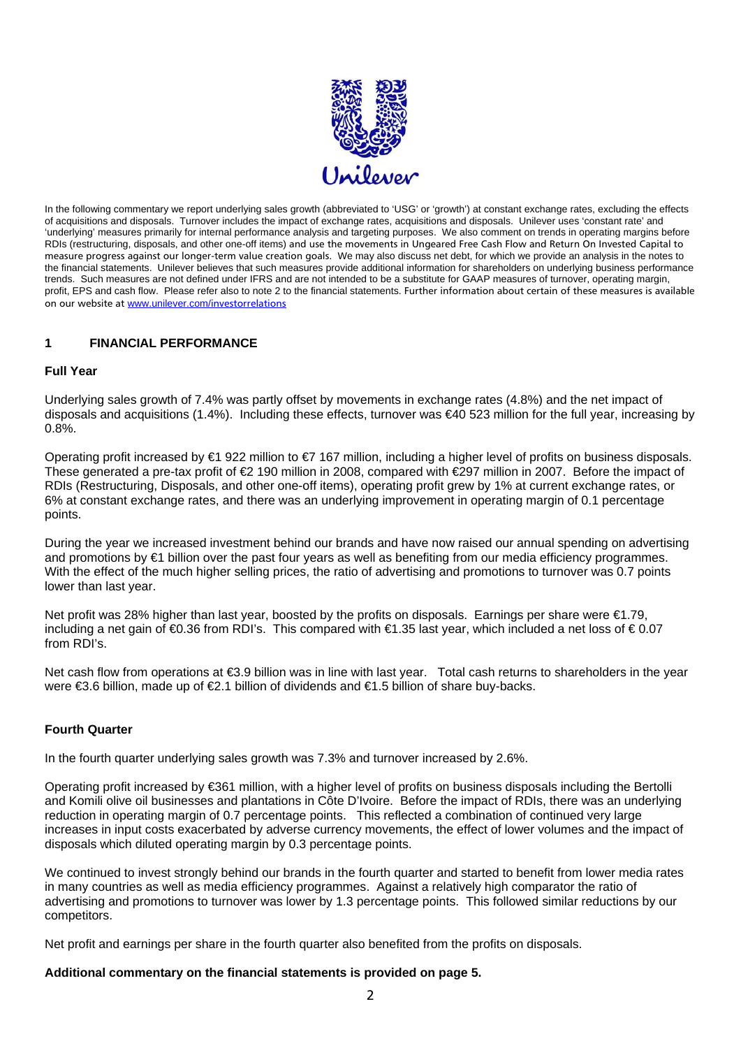

 measure progress against our longer-term value creation goals. We may also discuss net debt, for which we provide an analysis in the notes to In the following commentary we report underlying sales growth (abbreviated to 'USG' or 'growth') at constant exchange rates, excluding the effects of acquisitions and disposals. Turnover includes the impact of exchange rates, acquisitions and disposals. Unilever uses 'constant rate' and 'underlying' measures primarily for internal performance analysis and targeting purposes. We also comment on trends in operating margins before RDIs (restructuring, disposals, and other one-off items) and use the movements in Ungeared Free Cash Flow and Return On Invested Capital to the financial statements. Unilever believes that such measures provide additional information for shareholders on underlying business performance trends. Such measures are not defined under IFRS and are not intended to be a substitute for GAAP measures of turnover, operating margin, profit, EPS and cash flow. Please refer also to note 2 to the financial statements. Further information about certain of these measures is available on our website at www.unilever.com/investorrelations

#### **1 FINANCIAL PERFORMANCE**

# **Full Year**

Underlying sales growth of 7.4% was partly offset by movements in exchange rates (4.8%) and the net impact of disposals and acquisitions (1.4%). Including these effects, turnover was €40 523 million for the full year, increasing by 0.8%.

Operating profit increased by €1 922 million to €7 167 million, including a higher level of profits on business disposals. These generated a pre-tax profit of  $\epsilon$  190 million in 2008, compared with  $\epsilon$  297 million in 2007. Before the impact of RDIs (Restructuring, Disposals, and other one-off items), operating profit grew by 1% at current exchange rates, or 6% at constant exchange rates, and there was an underlying improvement in operating margin of 0.1 percentage points.

During the year we increased investment behind our brands and have now raised our annual spending on advertising and promotions by €1 billion over the past four years as well as benefiting from our media efficiency programmes. With the effect of the much higher selling prices, the ratio of advertising and promotions to turnover was 0.7 points lower than last year.

from RDI's. Net profit was 28% higher than last year, boosted by the profits on disposals. Earnings per share were €1.79, including a net gain of €0.36 from RDI's. This compared with €1.35 last year, which included a net loss of € 0.07

Net cash flow from operations at €3.9 billion was in line with last year. Total cash returns to shareholders in the year were €3.6 billion, made up of €2.1 billion of dividends and €1.5 billion of share buy-backs.

# **Fourth Quarter**

In the fourth quarter underlying sales growth was 7.3% and turnover increased by 2.6%.

Operating profit increased by €361 million, with a higher level of profits on business disposals including the Bertolli and Komili olive oil businesses and plantations in Côte D'Ivoire. Before the impact of RDIs, there was an underlying reduction in operating margin of 0.7 percentage points. This reflected a combination of continued very large increases in input costs exacerbated by adverse currency movements, the effect of lower volumes and the impact of disposals which diluted operating margin by 0.3 percentage points.

We continued to invest strongly behind our brands in the fourth quarter and started to benefit from lower media rates in many countries as well as media efficiency programmes. Against a relatively high comparator the ratio of advertising and promotions to turnover was lower by 1.3 percentage points. This followed similar reductions by our competitors.

Net profit and earnings per share in the fourth quarter also benefited from the profits on disposals.

#### **Additional commentary on the financial statements is provided on page 5.**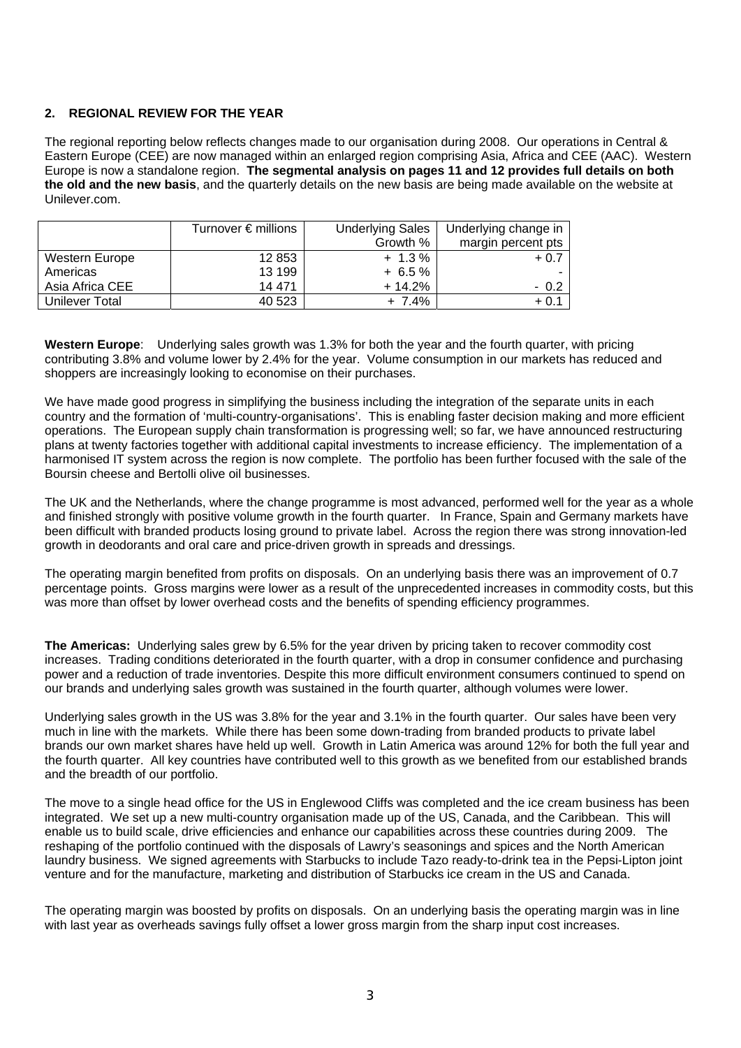# **2. REGIONAL REVIEW FOR THE YEAR**

The regional reporting below reflects changes made to our organisation during 2008. Our operations in Central & Eastern Europe (CEE) are now managed within an enlarged region comprising Asia, Africa and CEE (AAC). Western Europe is now a standalone region. **The segmental analysis on pages 11 and 12 provides full details on both the old and the new basis**, and the quarterly details on the new basis are being made available on the website at Unilever.com.

|                       | Turnover $\epsilon$ millions | <b>Underlying Sales</b> | Underlying change in |
|-----------------------|------------------------------|-------------------------|----------------------|
|                       |                              | Growth %                | margin percent pts   |
| Western Europe        | 12 853                       | $+ 1.3 \%$              | $+0.7$               |
| Americas              | 13 199                       | $+6.5%$                 |                      |
| Asia Africa CEE       | 14 471                       | $+14.2%$                | $-0.2$               |
| <b>Unilever Total</b> | 40 523                       | $+ 7.4%$                | $+0.1$               |

**Western Europe**: Underlying sales growth was 1.3% for both the year and the fourth quarter, with pricing contributing 3.8% and volume lower by 2.4% for the year. Volume consumption in our markets has reduced and shoppers are increasingly looking to economise on their purchases.

We have made good progress in simplifying the business including the integration of the separate units in each country and the formation of 'multi-country-organisations'. This is enabling faster decision making and more efficient operations. The European supply chain transformation is progressing well; so far, we have announced restructuring plans at twenty factories together with additional capital investments to increase efficiency. The implementation of a harmonised IT system across the region is now complete. The portfolio has been further focused with the sale of the Boursin cheese and Bertolli olive oil businesses.

The UK and the Netherlands, where the change programme is most advanced, performed well for the year as a whole and finished strongly with positive volume growth in the fourth quarter. In France, Spain and Germany markets have been difficult with branded products losing ground to private label. Across the region there was strong innovation-led growth in deodorants and oral care and price-driven growth in spreads and dressings.

The operating margin benefited from profits on disposals. On an underlying basis there was an improvement of 0.7 percentage points. Gross margins were lower as a result of the unprecedented increases in commodity costs, but this was more than offset by lower overhead costs and the benefits of spending efficiency programmes.

**The Americas:** Underlying sales grew by 6.5% for the year driven by pricing taken to recover commodity cost increases. Trading conditions deteriorated in the fourth quarter, with a drop in consumer confidence and purchasing power and a reduction of trade inventories. Despite this more difficult environment consumers continued to spend on our brands and underlying sales growth was sustained in the fourth quarter, although volumes were lower.

Underlying sales growth in the US was 3.8% for the year and 3.1% in the fourth quarter. Our sales have been very much in line with the markets. While there has been some down-trading from branded products to private label brands our own market shares have held up well. Growth in Latin America was around 12% for both the full year and the fourth quarter. All key countries have contributed well to this growth as we benefited from our established brands and the breadth of our portfolio.

The move to a single head office for the US in Englewood Cliffs was completed and the ice cream business has been integrated. We set up a new multi-country organisation made up of the US, Canada, and the Caribbean. This will enable us to build scale, drive efficiencies and enhance our capabilities across these countries during 2009. The reshaping of the portfolio continued with the disposals of Lawry's seasonings and spices and the North American laundry business. We signed agreements with Starbucks to include Tazo ready-to-drink tea in the Pepsi-Lipton joint venture and for the manufacture, marketing and distribution of Starbucks ice cream in the US and Canada.

The operating margin was boosted by profits on disposals. On an underlying basis the operating margin was in line with last year as overheads savings fully offset a lower gross margin from the sharp input cost increases.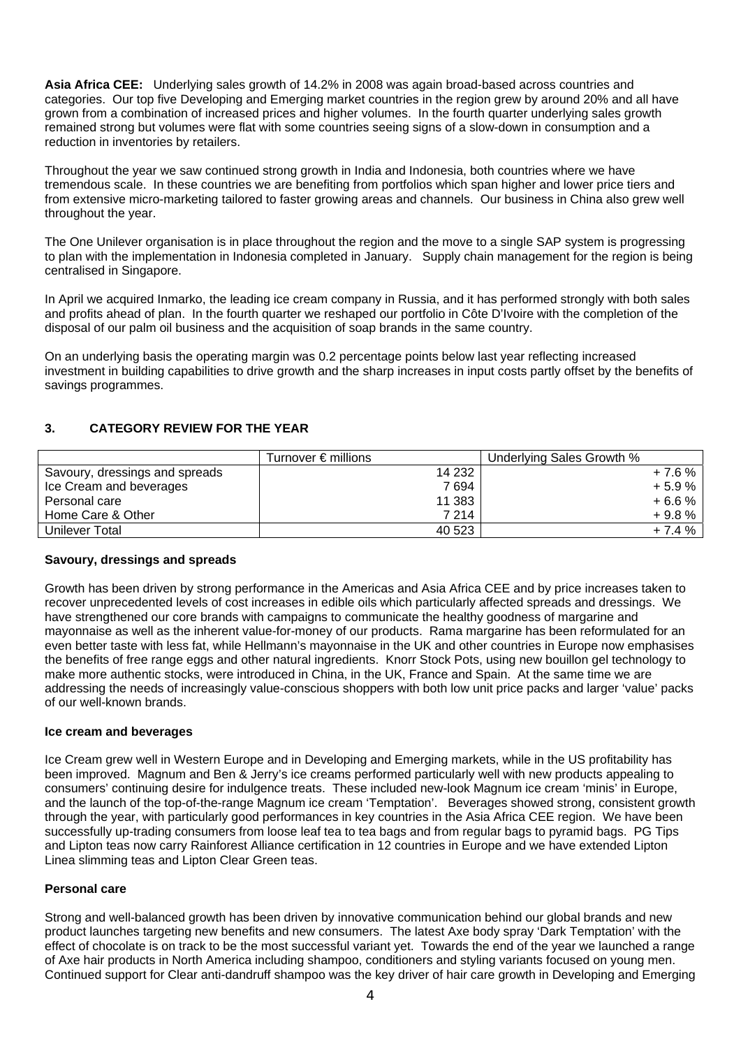**Asia Africa CEE:** Underlying sales growth of 14.2% in 2008 was again broad-based across countries and categories. Our top five Developing and Emerging market countries in the region grew by around 20% and all have grown from a combination of increased prices and higher volumes. In the fourth quarter underlying sales growth remained strong but volumes were flat with some countries seeing signs of a slow-down in consumption and a reduction in inventories by retailers.

Throughout the year we saw continued strong growth in India and Indonesia, both countries where we have tremendous scale. In these countries we are benefiting from portfolios which span higher and lower price tiers and from extensive micro-marketing tailored to faster growing areas and channels. Our business in China also grew well throughout the year.

The One Unilever organisation is in place throughout the region and the move to a single SAP system is progressing to plan with the implementation in Indonesia completed in January. Supply chain management for the region is being centralised in Singapore.

In April we acquired Inmarko, the leading ice cream company in Russia, and it has performed strongly with both sales and profits ahead of plan. In the fourth quarter we reshaped our portfolio in Côte D'Ivoire with the completion of the disposal of our palm oil business and the acquisition of soap brands in the same country.

On an underlying basis the operating margin was 0.2 percentage points below last year reflecting increased investment in building capabilities to drive growth and the sharp increases in input costs partly offset by the benefits of savings programmes.

# **3. CATEGORY REVIEW FOR THE YEAR**

|                                | Turnover $\epsilon$ millions | Underlying Sales Growth % |
|--------------------------------|------------------------------|---------------------------|
| Savoury, dressings and spreads | 14 2 32                      | $+7.6%$                   |
| Ice Cream and beverages        | 7 694                        | $+5.9%$                   |
| Personal care                  | 11 383                       | $+6.6%$                   |
| Home Care & Other              | 7 214                        | $+9.8%$                   |
| Unilever Total                 | 40 523                       | $+7.4%$                   |

# **Savoury, dressings and spreads**

Growth has been driven by strong performance in the Americas and Asia Africa CEE and by price increases taken to recover unprecedented levels of cost increases in edible oils which particularly affected spreads and dressings. We have strengthened our core brands with campaigns to communicate the healthy goodness of margarine and mayonnaise as well as the inherent value-for-money of our products. Rama margarine has been reformulated for an even better taste with less fat, while Hellmann's mayonnaise in the UK and other countries in Europe now emphasises the benefits of free range eggs and other natural ingredients. Knorr Stock Pots, using new bouillon gel technology to make more authentic stocks, were introduced in China, in the UK, France and Spain. At the same time we are addressing the needs of increasingly value-conscious shoppers with both low unit price packs and larger 'value' packs of our well-known brands.

#### **Ice cream and beverages**

Ice Cream grew well in Western Europe and in Developing and Emerging markets, while in the US profitability has been improved. Magnum and Ben & Jerry's ice creams performed particularly well with new products appealing to consumers' continuing desire for indulgence treats. These included new-look Magnum ice cream 'minis' in Europe, and the launch of the top-of-the-range Magnum ice cream 'Temptation'. Beverages showed strong, consistent growth through the year, with particularly good performances in key countries in the Asia Africa CEE region. We have been successfully up-trading consumers from loose leaf tea to tea bags and from regular bags to pyramid bags. PG Tips and Lipton teas now carry Rainforest Alliance certification in 12 countries in Europe and we have extended Lipton Linea slimming teas and Lipton Clear Green teas.

#### **Personal care**

Strong and well-balanced growth has been driven by innovative communication behind our global brands and new product launches targeting new benefits and new consumers. The latest Axe body spray 'Dark Temptation' with the effect of chocolate is on track to be the most successful variant yet. Towards the end of the year we launched a range of Axe hair products in North America including shampoo, conditioners and styling variants focused on young men. Continued support for Clear anti-dandruff shampoo was the key driver of hair care growth in Developing and Emerging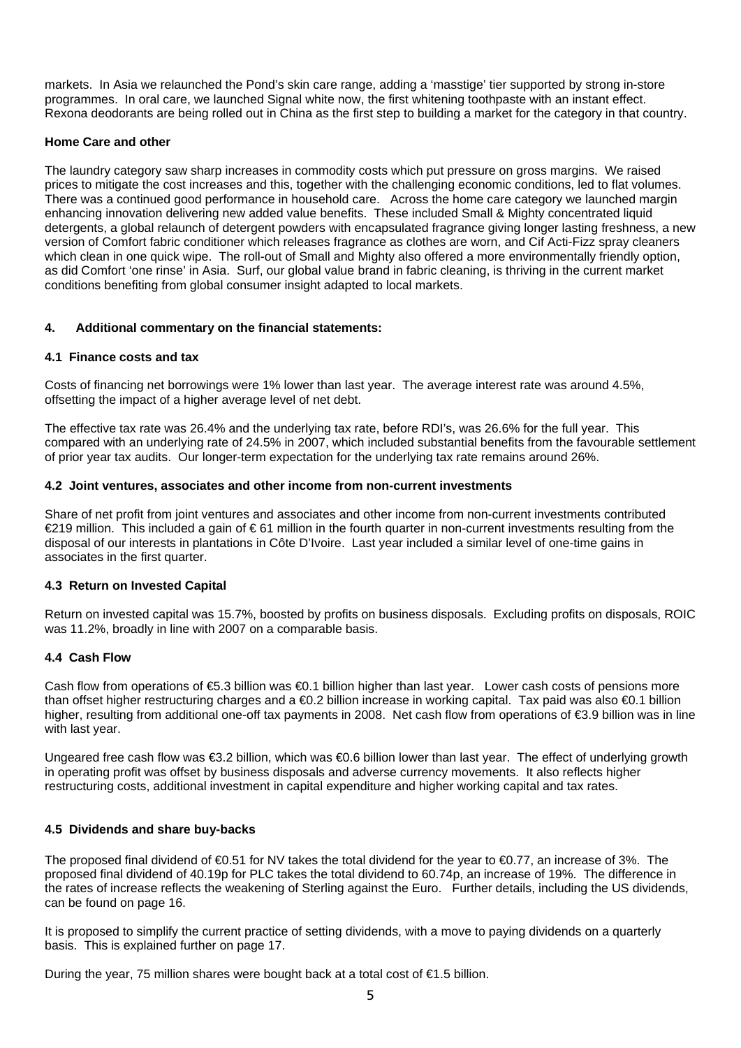markets. In Asia we relaunched the Pond's skin care range, adding a 'masstige' tier supported by strong in-store programmes. In oral care, we launched Signal white now, the first whitening toothpaste with an instant effect. Rexona deodorants are being rolled out in China as the first step to building a market for the category in that country.

# **Home Care and other**

The laundry category saw sharp increases in commodity costs which put pressure on gross margins. We raised prices to mitigate the cost increases and this, together with the challenging economic conditions, led to flat volumes. There was a continued good performance in household care. Across the home care category we launched margin enhancing innovation delivering new added value benefits. These included Small & Mighty concentrated liquid detergents, a global relaunch of detergent powders with encapsulated fragrance giving longer lasting freshness, a new version of Comfort fabric conditioner which releases fragrance as clothes are worn, and Cif Acti-Fizz spray cleaners which clean in one quick wipe. The roll-out of Small and Mighty also offered a more environmentally friendly option, as did Comfort 'one rinse' in Asia. Surf, our global value brand in fabric cleaning, is thriving in the current market conditions benefiting from global consumer insight adapted to local markets.

# **4. Additional commentary on the financial statements:**

# **4.1 Finance costs and tax**

Costs of financing net borrowings were 1% lower than last year. The average interest rate was around 4.5%, offsetting the impact of a higher average level of net debt.

The effective tax rate was 26.4% and the underlying tax rate, before RDI's, was 26.6% for the full year. This compared with an underlying rate of 24.5% in 2007, which included substantial benefits from the favourable settlement of prior year tax audits. Our longer-term expectation for the underlying tax rate remains around 26%.

#### **4.2 Joint ventures, associates and other income from non-current investments**

Share of net profit from joint ventures and associates and other income from non-current investments contributed €219 million. This included a gain of € 61 million in the fourth quarter in non-current investments resulting from the disposal of our interests in plantations in Côte D'Ivoire. Last year included a similar level of one-time gains in associates in the first quarter.

#### **4.3 Return on Invested Capital**

Return on invested capital was 15.7%, boosted by profits on business disposals. Excluding profits on disposals, ROIC was 11.2%, broadly in line with 2007 on a comparable basis.

#### **4.4 Cash Flow**

with last year. Cash flow from operations of €5.3 billion was €0.1 billion higher than last year. Lower cash costs of pensions more than offset higher restructuring charges and a €0.2 billion increase in working capital. Tax paid was also €0.1 billion higher, resulting from additional one-off tax payments in 2008. Net cash flow from operations of €3.9 billion was in line

Ungeared free cash flow was  $\epsilon$ 3.2 billion, which was  $\epsilon$ 0.6 billion lower than last year. The effect of underlying growth in operating profit was offset by business disposals and adverse currency movements. It also reflects higher restructuring costs, additional investment in capital expenditure and higher working capital and tax rates.

# **4.5 Dividends and share buy-backs**

The proposed final dividend of  $\bigoplus$ .51 for NV takes the total dividend for the year to  $\bigoplus$ .77, an increase of 3%. The proposed final dividend of 40.19p for PLC takes the total dividend to 60.74p, an increase of 19%. The difference in the rates of increase reflects the weakening of Sterling against the Euro. Further details, including the US dividends, can be found on page 16.

It is proposed to simplify the current practice of setting dividends, with a move to paying dividends on a quarterly basis. This is explained further on page 17.

During the year, 75 million shares were bought back at a total cost of  $\epsilon$ 1.5 billion.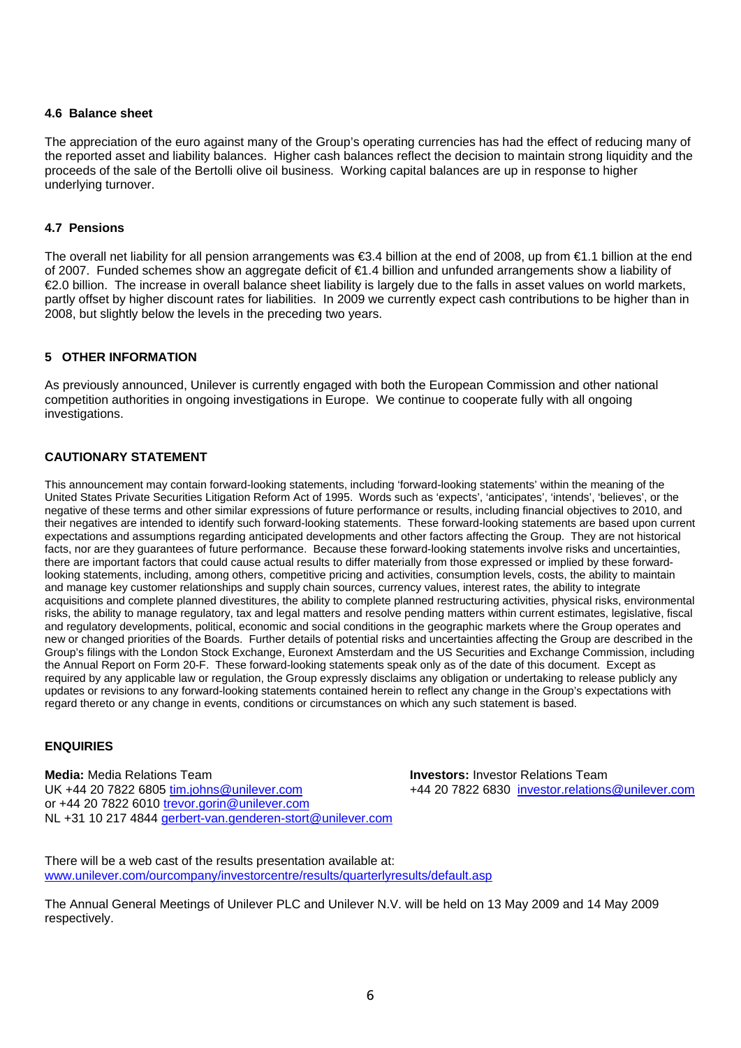#### **4.6 Balance sheet**

The appreciation of the euro against many of the Group's operating currencies has had the effect of reducing many of the reported asset and liability balances. Higher cash balances reflect the decision to maintain strong liquidity and the proceeds of the sale of the Bertolli olive oil business. Working capital balances are up in response to higher underlying turnover.

#### **4.7 Pensions**

The overall net liability for all pension arrangements was €3.4 billion at the end of 2008, up from €1.1 billion at the end of 2007. Funded schemes show an aggregate deficit of €1.4 billion and unfunded arrangements show a liability of €2.0 billion. The increase in overall balance sheet liability is largely due to the falls in asset values on world markets, partly offset by higher discount rates for liabilities. In 2009 we currently expect cash contributions to be higher than in 2008, but slightly below the levels in the preceding two years.

# **5 OTHER INFORMATION**

As previously announced, Unilever is currently engaged with both the European Commission and other national competition authorities in ongoing investigations in Europe. We continue to cooperate fully with all ongoing investigations.

# **CAUTIONARY STATEMENT**

This announcement may contain forward-looking statements, including 'forward-looking statements' within the meaning of the United States Private Securities Litigation Reform Act of 1995. Words such as 'expects', 'anticipates', 'intends', 'believes', or the negative of these terms and other similar expressions of future performance or results, including financial objectives to 2010, and their negatives are intended to identify such forward-looking statements. These forward-looking statements are based upon current expectations and assumptions regarding anticipated developments and other factors affecting the Group. They are not historical facts, nor are they guarantees of future performance. Because these forward-looking statements involve risks and uncertainties, there are important factors that could cause actual results to differ materially from those expressed or implied by these forwardlooking statements, including, among others, competitive pricing and activities, consumption levels, costs, the ability to maintain and manage key customer relationships and supply chain sources, currency values, interest rates, the ability to integrate acquisitions and complete planned divestitures, the ability to complete planned restructuring activities, physical risks, environmental risks, the ability to manage regulatory, tax and legal matters and resolve pending matters within current estimates, legislative, fiscal and regulatory developments, political, economic and social conditions in the geographic markets where the Group operates and new or changed priorities of the Boards. Further details of potential risks and uncertainties affecting the Group are described in the Group's filings with the London Stock Exchange, Euronext Amsterdam and the US Securities and Exchange Commission, including the Annual Report on Form 20-F. These forward-looking statements speak only as of the date of this document. Except as required by any applicable law or regulation, the Group expressly disclaims any obligation or undertaking to release publicly any updates or revisions to any forward-looking statements contained herein to reflect any change in the Group's expectations with regard thereto or any change in events, conditions or circumstances on which any such statement is based.

#### **ENQUIRIES**

**Media:** Media Relations Team **Investors:** Investor Relations Team UK +44 20 7822 6805 tim.johns@unilever.com +44 20 7822 6830 investor.relations@unilever.com or +44 20 7822 6010 trevor.gorin@unilever.com NL +31 10 217 4844 gerbert-van.genderen-stort@unilever.com

There will be a web cast of the results presentation available at: www.unilever.com/ourcompany/investorcentre/results/quarterlyresults/default.asp

The Annual General Meetings of Unilever PLC and Unilever N.V. will be held on 13 May 2009 and 14 May 2009 respectively.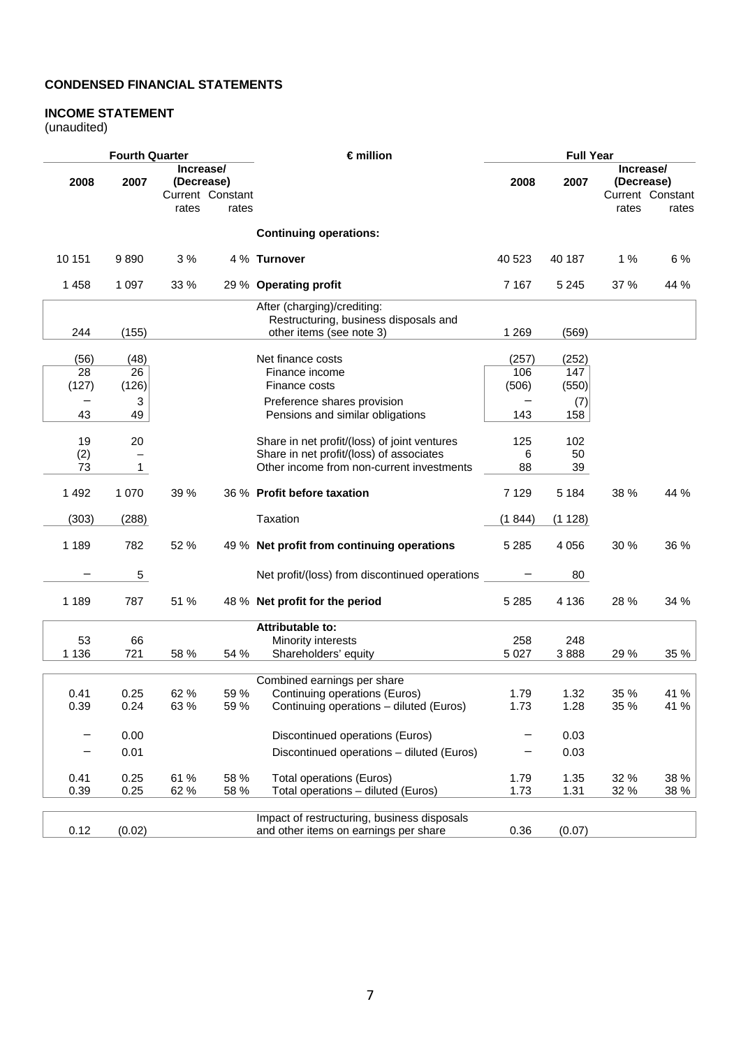# **CONDENSED FINANCIAL STATEMENTS**

# **INCOME STATEMENT**

(unaudited)

|         | <b>Fourth Quarter</b> |                                                      |       | €million                                                                                         | <b>Full Year</b> |            |                                  |                           |
|---------|-----------------------|------------------------------------------------------|-------|--------------------------------------------------------------------------------------------------|------------------|------------|----------------------------------|---------------------------|
| 2008    | 2007                  | Increase/<br>(Decrease)<br>Current Constant<br>rates | rates |                                                                                                  | 2008             | 2007       | Increase/<br>(Decrease)<br>rates | Current Constant<br>rates |
|         |                       |                                                      |       | <b>Continuing operations:</b>                                                                    |                  |            |                                  |                           |
| 10 151  | 9890                  | 3%                                                   |       | 4 % Turnover                                                                                     | 40 523           | 40 187     | 1%                               | 6 %                       |
| 1458    | 1 0 9 7               | 33 %                                                 |       | 29 % Operating profit                                                                            | 7 1 6 7          | 5 2 4 5    | 37 %                             | 44 %                      |
| 244     | (155)                 |                                                      |       | After (charging)/crediting:<br>Restructuring, business disposals and<br>other items (see note 3) | 1 2 6 9          | (569)      |                                  |                           |
|         |                       |                                                      |       |                                                                                                  |                  |            |                                  |                           |
| (56)    | (48)                  |                                                      |       | Net finance costs                                                                                | (257)            | (252)      |                                  |                           |
| 28      | 26                    |                                                      |       | Finance income                                                                                   | 106              | 147        |                                  |                           |
| (127)   | (126)                 |                                                      |       | Finance costs                                                                                    | (506)            | (550)      |                                  |                           |
| —<br>43 | $\mathbf{3}$<br>49    |                                                      |       | Preference shares provision<br>Pensions and similar obligations                                  | 143              | (7)<br>158 |                                  |                           |
|         |                       |                                                      |       |                                                                                                  |                  |            |                                  |                           |
| 19      | 20                    |                                                      |       | Share in net profit/(loss) of joint ventures                                                     | 125              | 102        |                                  |                           |
| (2)     |                       |                                                      |       | Share in net profit/(loss) of associates                                                         | 6                | 50         |                                  |                           |
| 73      | $\mathbf{1}$          |                                                      |       | Other income from non-current investments                                                        | 88               | 39         |                                  |                           |
| 1492    | 1 0 7 0               | 39 %                                                 |       | 36 % Profit before taxation                                                                      | 7 1 2 9          | 5 1 8 4    | 38 %                             | 44 %                      |
| (303)   | (288)                 |                                                      |       | Taxation                                                                                         | (1 844)          | (1128)     |                                  |                           |
| 1 1 8 9 | 782                   | 52 %                                                 |       | 49 % Net profit from continuing operations                                                       | 5 2 8 5          | 4 0 5 6    | 30 %                             | 36 %                      |
|         | 5                     |                                                      |       | Net profit/(loss) from discontinued operations                                                   |                  | 80         |                                  |                           |
| 1 1 8 9 | 787                   | 51 %                                                 |       | 48 % Net profit for the period                                                                   | 5 2 8 5          | 4 1 3 6    | 28 %                             | 34 %                      |
|         |                       |                                                      |       | <b>Attributable to:</b>                                                                          |                  |            |                                  |                           |
| 53      | 66                    |                                                      |       | Minority interests                                                                               | 258              | 248        |                                  |                           |
| 1 1 3 6 | 721                   | 58 %                                                 | 54 %  | Shareholders' equity                                                                             | 5 0 27           | 3888       | 29 %                             | 35 %                      |
|         |                       |                                                      |       |                                                                                                  |                  |            |                                  |                           |
| 0.41    | 0.25                  | 62 %                                                 | 59 %  | Combined earnings per share<br>Continuing operations (Euros)                                     | 1.79             | 1.32       | 35 %                             | 41 %                      |
| 0.39    | 0.24                  | 63 %                                                 | 59 %  | Continuing operations - diluted (Euros)                                                          | 1.73             | 1.28       | 35 %                             | 41 %                      |
| —       | 0.00                  |                                                      |       | Discontinued operations (Euros)                                                                  |                  | 0.03       |                                  |                           |
|         | 0.01                  |                                                      |       | Discontinued operations - diluted (Euros)                                                        |                  | 0.03       |                                  |                           |
|         |                       |                                                      |       |                                                                                                  |                  |            |                                  |                           |
| 0.41    | 0.25                  | 61 %                                                 | 58 %  | <b>Total operations (Euros)</b>                                                                  | 1.79             | 1.35       | 32 %                             | 38 %                      |
| 0.39    | 0.25                  | 62 %                                                 | 58 %  | Total operations - diluted (Euros)                                                               | 1.73             | 1.31       | 32 %                             | 38 %                      |
|         |                       |                                                      |       | Impact of restructuring, business disposals                                                      |                  |            |                                  |                           |
| 0.12    | (0.02)                |                                                      |       | and other items on earnings per share                                                            | 0.36             | (0.07)     |                                  |                           |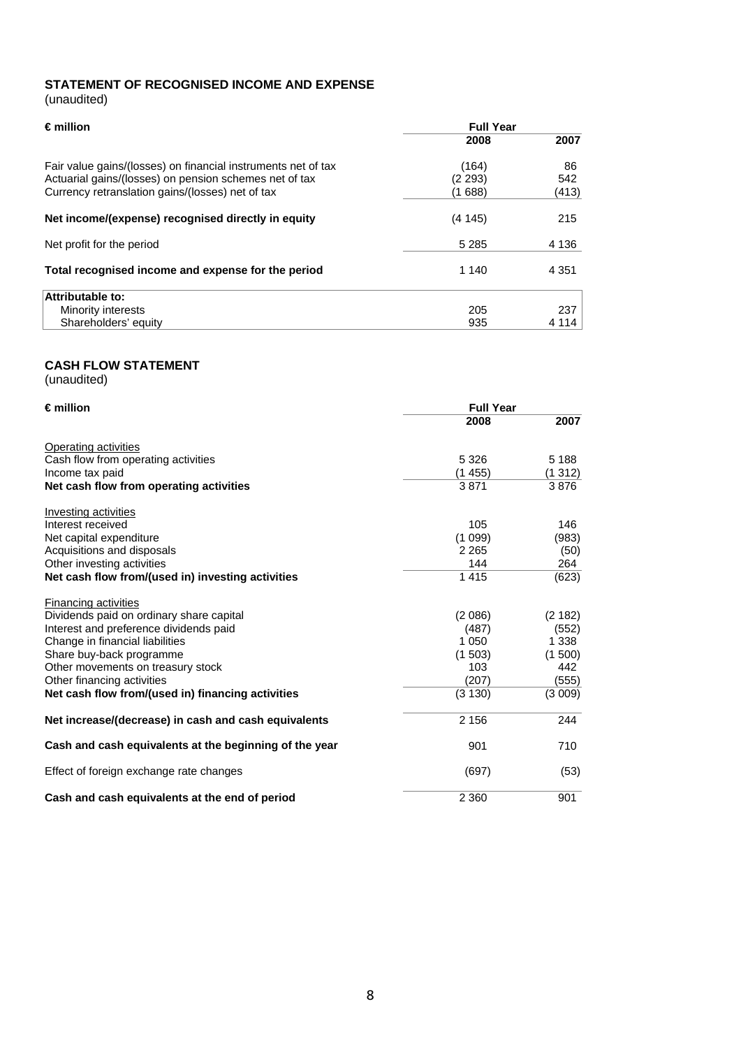# **STATEMENT OF RECOGNISED INCOME AND EXPENSE**  (unaudited)

| €million                                                                                                   | <b>Full Year</b>                   |           |  |  |  |
|------------------------------------------------------------------------------------------------------------|------------------------------------|-----------|--|--|--|
|                                                                                                            | 2008                               | 2007      |  |  |  |
| Fair value gains/(losses) on financial instruments net of tax                                              | (164)                              | 86        |  |  |  |
| Actuarial gains/(losses) on pension schemes net of tax<br>Currency retranslation gains/(losses) net of tax | (2 293)<br>542<br>(1 688)<br>(413) |           |  |  |  |
| Net income/(expense) recognised directly in equity                                                         | (4145)                             | 215       |  |  |  |
| Net profit for the period                                                                                  | 5 2 8 5                            | 4 1 3 6   |  |  |  |
| Total recognised income and expense for the period                                                         | 1 140                              | 4 3 5 1   |  |  |  |
| <b>Attributable to:</b>                                                                                    |                                    |           |  |  |  |
| Minority interests                                                                                         | 205                                | 237       |  |  |  |
| Shareholders' equity                                                                                       | 935                                | 4 1 1 4 1 |  |  |  |

# **CASH FLOW STATEMENT**

(unaudited)

| $\epsilon$ million                                     | <b>Full Year</b> |         |
|--------------------------------------------------------|------------------|---------|
|                                                        | 2008             | 2007    |
| Operating activities                                   |                  |         |
| Cash flow from operating activities                    | 5 3 2 6          | 5 1 8 8 |
| Income tax paid                                        | (1455)           | (1312)  |
| Net cash flow from operating activities                | 3871             | 3876    |
| Investing activities                                   |                  |         |
| Interest received                                      | 105              | 146     |
| Net capital expenditure                                | (1099)           | (983)   |
| Acquisitions and disposals                             | 2 2 6 5          | (50)    |
| Other investing activities                             | 144              | 264     |
| Net cash flow from/(used in) investing activities      | 1415             | (623)   |
| Financing activities                                   |                  |         |
| Dividends paid on ordinary share capital               | (2086)           | (2182)  |
| Interest and preference dividends paid                 | (487)            | (552)   |
| Change in financial liabilities                        | 1 0 5 0          | 1 3 3 8 |
| Share buy-back programme                               | (1503)           | (1500)  |
| Other movements on treasury stock                      | 103              | 442     |
| Other financing activities                             | (207)            | (555)   |
| Net cash flow from/(used in) financing activities      | (3 130)          | (3009)  |
| Net increase/(decrease) in cash and cash equivalents   | 2 1 5 6          | 244     |
| Cash and cash equivalents at the beginning of the year | 901              | 710     |
| Effect of foreign exchange rate changes                | (697)            | (53)    |
| Cash and cash equivalents at the end of period         | 2 3 6 0          | 901     |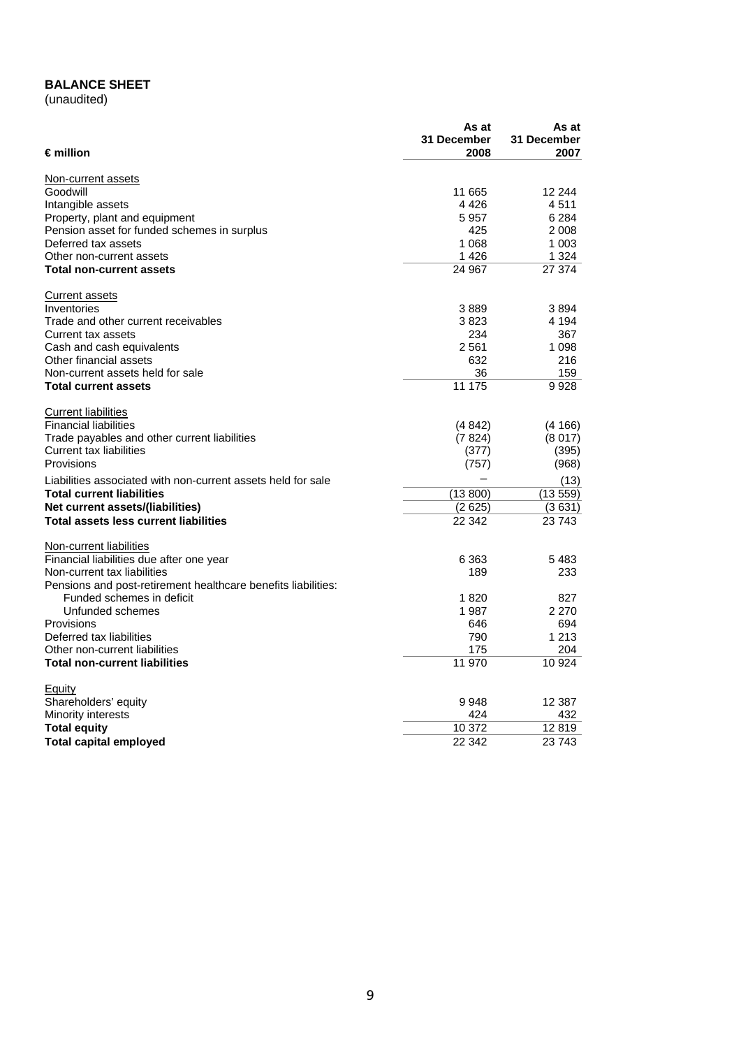# **BALANCE SHEET**

(unaudited)

| 31 December<br>31 December<br>$\epsilon$ million<br>2008<br>2007<br>Non-current assets<br>Goodwill<br>11 665<br>12 244<br>4426<br>4511<br>Intangible assets<br>5 9 5 7<br>Property, plant and equipment<br>6 2 8 4<br>Pension asset for funded schemes in surplus<br>425<br>2 0 0 8<br>Deferred tax assets<br>1 0 6 8<br>1 003<br>1426<br>1 3 2 4<br>Other non-current assets<br>24 967<br>27 374<br><b>Total non-current assets</b><br>Current assets<br>Inventories<br>3889<br>3894<br>3823<br>4 1 9 4<br>Trade and other current receivables<br>234<br>367<br>Current tax assets<br>Cash and cash equivalents<br>2 561<br>1 0 9 8<br>Other financial assets<br>632<br>216<br>36<br>159<br>Non-current assets held for sale<br>11 175<br><b>Total current assets</b><br>9928<br><b>Current liabilities</b><br><b>Financial liabilities</b><br>(4842)<br>(4166)<br>Trade payables and other current liabilities<br>(7824)<br>(8017)<br>Current tax liabilities<br>(395)<br>(377)<br>Provisions<br>(968)<br>(757)<br>Liabilities associated with non-current assets held for sale<br>(13)<br><b>Total current liabilities</b><br>(13 800)<br>(13 559)<br>Net current assets/(liabilities)<br>(2 625)<br>(3631)<br><b>Total assets less current liabilities</b><br>22 342<br>23743<br>Non-current liabilities<br>Financial liabilities due after one year<br>6 3 6 3<br>5483<br>189<br>233<br>Non-current tax liabilities<br>Pensions and post-retirement healthcare benefits liabilities:<br>Funded schemes in deficit<br>1820<br>827<br>Unfunded schemes<br>2 2 7 0<br>1987<br>Provisions<br>694<br>646<br>Deferred tax liabilities<br>790<br>1 2 1 3<br>175<br>204<br>Other non-current liabilities<br>11 970<br>10 9 24<br><b>Total non-current liabilities</b><br><b>Equity</b><br>Shareholders' equity<br>9948<br>12 3 8 7<br>424<br>432<br>Minority interests<br><b>Total equity</b><br>10 372<br>12819 |                               | As at  | As at  |
|---------------------------------------------------------------------------------------------------------------------------------------------------------------------------------------------------------------------------------------------------------------------------------------------------------------------------------------------------------------------------------------------------------------------------------------------------------------------------------------------------------------------------------------------------------------------------------------------------------------------------------------------------------------------------------------------------------------------------------------------------------------------------------------------------------------------------------------------------------------------------------------------------------------------------------------------------------------------------------------------------------------------------------------------------------------------------------------------------------------------------------------------------------------------------------------------------------------------------------------------------------------------------------------------------------------------------------------------------------------------------------------------------------------------------------------------------------------------------------------------------------------------------------------------------------------------------------------------------------------------------------------------------------------------------------------------------------------------------------------------------------------------------------------------------------------------------------------------------------------------------------------------------------------|-------------------------------|--------|--------|
|                                                                                                                                                                                                                                                                                                                                                                                                                                                                                                                                                                                                                                                                                                                                                                                                                                                                                                                                                                                                                                                                                                                                                                                                                                                                                                                                                                                                                                                                                                                                                                                                                                                                                                                                                                                                                                                                                                               |                               |        |        |
|                                                                                                                                                                                                                                                                                                                                                                                                                                                                                                                                                                                                                                                                                                                                                                                                                                                                                                                                                                                                                                                                                                                                                                                                                                                                                                                                                                                                                                                                                                                                                                                                                                                                                                                                                                                                                                                                                                               |                               |        |        |
|                                                                                                                                                                                                                                                                                                                                                                                                                                                                                                                                                                                                                                                                                                                                                                                                                                                                                                                                                                                                                                                                                                                                                                                                                                                                                                                                                                                                                                                                                                                                                                                                                                                                                                                                                                                                                                                                                                               |                               |        |        |
|                                                                                                                                                                                                                                                                                                                                                                                                                                                                                                                                                                                                                                                                                                                                                                                                                                                                                                                                                                                                                                                                                                                                                                                                                                                                                                                                                                                                                                                                                                                                                                                                                                                                                                                                                                                                                                                                                                               |                               |        |        |
|                                                                                                                                                                                                                                                                                                                                                                                                                                                                                                                                                                                                                                                                                                                                                                                                                                                                                                                                                                                                                                                                                                                                                                                                                                                                                                                                                                                                                                                                                                                                                                                                                                                                                                                                                                                                                                                                                                               |                               |        |        |
|                                                                                                                                                                                                                                                                                                                                                                                                                                                                                                                                                                                                                                                                                                                                                                                                                                                                                                                                                                                                                                                                                                                                                                                                                                                                                                                                                                                                                                                                                                                                                                                                                                                                                                                                                                                                                                                                                                               |                               |        |        |
|                                                                                                                                                                                                                                                                                                                                                                                                                                                                                                                                                                                                                                                                                                                                                                                                                                                                                                                                                                                                                                                                                                                                                                                                                                                                                                                                                                                                                                                                                                                                                                                                                                                                                                                                                                                                                                                                                                               |                               |        |        |
|                                                                                                                                                                                                                                                                                                                                                                                                                                                                                                                                                                                                                                                                                                                                                                                                                                                                                                                                                                                                                                                                                                                                                                                                                                                                                                                                                                                                                                                                                                                                                                                                                                                                                                                                                                                                                                                                                                               |                               |        |        |
|                                                                                                                                                                                                                                                                                                                                                                                                                                                                                                                                                                                                                                                                                                                                                                                                                                                                                                                                                                                                                                                                                                                                                                                                                                                                                                                                                                                                                                                                                                                                                                                                                                                                                                                                                                                                                                                                                                               |                               |        |        |
|                                                                                                                                                                                                                                                                                                                                                                                                                                                                                                                                                                                                                                                                                                                                                                                                                                                                                                                                                                                                                                                                                                                                                                                                                                                                                                                                                                                                                                                                                                                                                                                                                                                                                                                                                                                                                                                                                                               |                               |        |        |
|                                                                                                                                                                                                                                                                                                                                                                                                                                                                                                                                                                                                                                                                                                                                                                                                                                                                                                                                                                                                                                                                                                                                                                                                                                                                                                                                                                                                                                                                                                                                                                                                                                                                                                                                                                                                                                                                                                               |                               |        |        |
|                                                                                                                                                                                                                                                                                                                                                                                                                                                                                                                                                                                                                                                                                                                                                                                                                                                                                                                                                                                                                                                                                                                                                                                                                                                                                                                                                                                                                                                                                                                                                                                                                                                                                                                                                                                                                                                                                                               |                               |        |        |
|                                                                                                                                                                                                                                                                                                                                                                                                                                                                                                                                                                                                                                                                                                                                                                                                                                                                                                                                                                                                                                                                                                                                                                                                                                                                                                                                                                                                                                                                                                                                                                                                                                                                                                                                                                                                                                                                                                               |                               |        |        |
|                                                                                                                                                                                                                                                                                                                                                                                                                                                                                                                                                                                                                                                                                                                                                                                                                                                                                                                                                                                                                                                                                                                                                                                                                                                                                                                                                                                                                                                                                                                                                                                                                                                                                                                                                                                                                                                                                                               |                               |        |        |
|                                                                                                                                                                                                                                                                                                                                                                                                                                                                                                                                                                                                                                                                                                                                                                                                                                                                                                                                                                                                                                                                                                                                                                                                                                                                                                                                                                                                                                                                                                                                                                                                                                                                                                                                                                                                                                                                                                               |                               |        |        |
|                                                                                                                                                                                                                                                                                                                                                                                                                                                                                                                                                                                                                                                                                                                                                                                                                                                                                                                                                                                                                                                                                                                                                                                                                                                                                                                                                                                                                                                                                                                                                                                                                                                                                                                                                                                                                                                                                                               |                               |        |        |
|                                                                                                                                                                                                                                                                                                                                                                                                                                                                                                                                                                                                                                                                                                                                                                                                                                                                                                                                                                                                                                                                                                                                                                                                                                                                                                                                                                                                                                                                                                                                                                                                                                                                                                                                                                                                                                                                                                               |                               |        |        |
|                                                                                                                                                                                                                                                                                                                                                                                                                                                                                                                                                                                                                                                                                                                                                                                                                                                                                                                                                                                                                                                                                                                                                                                                                                                                                                                                                                                                                                                                                                                                                                                                                                                                                                                                                                                                                                                                                                               |                               |        |        |
|                                                                                                                                                                                                                                                                                                                                                                                                                                                                                                                                                                                                                                                                                                                                                                                                                                                                                                                                                                                                                                                                                                                                                                                                                                                                                                                                                                                                                                                                                                                                                                                                                                                                                                                                                                                                                                                                                                               |                               |        |        |
|                                                                                                                                                                                                                                                                                                                                                                                                                                                                                                                                                                                                                                                                                                                                                                                                                                                                                                                                                                                                                                                                                                                                                                                                                                                                                                                                                                                                                                                                                                                                                                                                                                                                                                                                                                                                                                                                                                               |                               |        |        |
|                                                                                                                                                                                                                                                                                                                                                                                                                                                                                                                                                                                                                                                                                                                                                                                                                                                                                                                                                                                                                                                                                                                                                                                                                                                                                                                                                                                                                                                                                                                                                                                                                                                                                                                                                                                                                                                                                                               |                               |        |        |
|                                                                                                                                                                                                                                                                                                                                                                                                                                                                                                                                                                                                                                                                                                                                                                                                                                                                                                                                                                                                                                                                                                                                                                                                                                                                                                                                                                                                                                                                                                                                                                                                                                                                                                                                                                                                                                                                                                               |                               |        |        |
|                                                                                                                                                                                                                                                                                                                                                                                                                                                                                                                                                                                                                                                                                                                                                                                                                                                                                                                                                                                                                                                                                                                                                                                                                                                                                                                                                                                                                                                                                                                                                                                                                                                                                                                                                                                                                                                                                                               |                               |        |        |
|                                                                                                                                                                                                                                                                                                                                                                                                                                                                                                                                                                                                                                                                                                                                                                                                                                                                                                                                                                                                                                                                                                                                                                                                                                                                                                                                                                                                                                                                                                                                                                                                                                                                                                                                                                                                                                                                                                               |                               |        |        |
|                                                                                                                                                                                                                                                                                                                                                                                                                                                                                                                                                                                                                                                                                                                                                                                                                                                                                                                                                                                                                                                                                                                                                                                                                                                                                                                                                                                                                                                                                                                                                                                                                                                                                                                                                                                                                                                                                                               |                               |        |        |
|                                                                                                                                                                                                                                                                                                                                                                                                                                                                                                                                                                                                                                                                                                                                                                                                                                                                                                                                                                                                                                                                                                                                                                                                                                                                                                                                                                                                                                                                                                                                                                                                                                                                                                                                                                                                                                                                                                               |                               |        |        |
|                                                                                                                                                                                                                                                                                                                                                                                                                                                                                                                                                                                                                                                                                                                                                                                                                                                                                                                                                                                                                                                                                                                                                                                                                                                                                                                                                                                                                                                                                                                                                                                                                                                                                                                                                                                                                                                                                                               |                               |        |        |
|                                                                                                                                                                                                                                                                                                                                                                                                                                                                                                                                                                                                                                                                                                                                                                                                                                                                                                                                                                                                                                                                                                                                                                                                                                                                                                                                                                                                                                                                                                                                                                                                                                                                                                                                                                                                                                                                                                               |                               |        |        |
|                                                                                                                                                                                                                                                                                                                                                                                                                                                                                                                                                                                                                                                                                                                                                                                                                                                                                                                                                                                                                                                                                                                                                                                                                                                                                                                                                                                                                                                                                                                                                                                                                                                                                                                                                                                                                                                                                                               |                               |        |        |
|                                                                                                                                                                                                                                                                                                                                                                                                                                                                                                                                                                                                                                                                                                                                                                                                                                                                                                                                                                                                                                                                                                                                                                                                                                                                                                                                                                                                                                                                                                                                                                                                                                                                                                                                                                                                                                                                                                               |                               |        |        |
|                                                                                                                                                                                                                                                                                                                                                                                                                                                                                                                                                                                                                                                                                                                                                                                                                                                                                                                                                                                                                                                                                                                                                                                                                                                                                                                                                                                                                                                                                                                                                                                                                                                                                                                                                                                                                                                                                                               |                               |        |        |
|                                                                                                                                                                                                                                                                                                                                                                                                                                                                                                                                                                                                                                                                                                                                                                                                                                                                                                                                                                                                                                                                                                                                                                                                                                                                                                                                                                                                                                                                                                                                                                                                                                                                                                                                                                                                                                                                                                               |                               |        |        |
|                                                                                                                                                                                                                                                                                                                                                                                                                                                                                                                                                                                                                                                                                                                                                                                                                                                                                                                                                                                                                                                                                                                                                                                                                                                                                                                                                                                                                                                                                                                                                                                                                                                                                                                                                                                                                                                                                                               |                               |        |        |
|                                                                                                                                                                                                                                                                                                                                                                                                                                                                                                                                                                                                                                                                                                                                                                                                                                                                                                                                                                                                                                                                                                                                                                                                                                                                                                                                                                                                                                                                                                                                                                                                                                                                                                                                                                                                                                                                                                               |                               |        |        |
|                                                                                                                                                                                                                                                                                                                                                                                                                                                                                                                                                                                                                                                                                                                                                                                                                                                                                                                                                                                                                                                                                                                                                                                                                                                                                                                                                                                                                                                                                                                                                                                                                                                                                                                                                                                                                                                                                                               |                               |        |        |
|                                                                                                                                                                                                                                                                                                                                                                                                                                                                                                                                                                                                                                                                                                                                                                                                                                                                                                                                                                                                                                                                                                                                                                                                                                                                                                                                                                                                                                                                                                                                                                                                                                                                                                                                                                                                                                                                                                               |                               |        |        |
|                                                                                                                                                                                                                                                                                                                                                                                                                                                                                                                                                                                                                                                                                                                                                                                                                                                                                                                                                                                                                                                                                                                                                                                                                                                                                                                                                                                                                                                                                                                                                                                                                                                                                                                                                                                                                                                                                                               |                               |        |        |
|                                                                                                                                                                                                                                                                                                                                                                                                                                                                                                                                                                                                                                                                                                                                                                                                                                                                                                                                                                                                                                                                                                                                                                                                                                                                                                                                                                                                                                                                                                                                                                                                                                                                                                                                                                                                                                                                                                               |                               |        |        |
|                                                                                                                                                                                                                                                                                                                                                                                                                                                                                                                                                                                                                                                                                                                                                                                                                                                                                                                                                                                                                                                                                                                                                                                                                                                                                                                                                                                                                                                                                                                                                                                                                                                                                                                                                                                                                                                                                                               |                               |        |        |
|                                                                                                                                                                                                                                                                                                                                                                                                                                                                                                                                                                                                                                                                                                                                                                                                                                                                                                                                                                                                                                                                                                                                                                                                                                                                                                                                                                                                                                                                                                                                                                                                                                                                                                                                                                                                                                                                                                               |                               |        |        |
|                                                                                                                                                                                                                                                                                                                                                                                                                                                                                                                                                                                                                                                                                                                                                                                                                                                                                                                                                                                                                                                                                                                                                                                                                                                                                                                                                                                                                                                                                                                                                                                                                                                                                                                                                                                                                                                                                                               |                               |        |        |
|                                                                                                                                                                                                                                                                                                                                                                                                                                                                                                                                                                                                                                                                                                                                                                                                                                                                                                                                                                                                                                                                                                                                                                                                                                                                                                                                                                                                                                                                                                                                                                                                                                                                                                                                                                                                                                                                                                               |                               |        |        |
|                                                                                                                                                                                                                                                                                                                                                                                                                                                                                                                                                                                                                                                                                                                                                                                                                                                                                                                                                                                                                                                                                                                                                                                                                                                                                                                                                                                                                                                                                                                                                                                                                                                                                                                                                                                                                                                                                                               |                               |        |        |
|                                                                                                                                                                                                                                                                                                                                                                                                                                                                                                                                                                                                                                                                                                                                                                                                                                                                                                                                                                                                                                                                                                                                                                                                                                                                                                                                                                                                                                                                                                                                                                                                                                                                                                                                                                                                                                                                                                               | <b>Total capital employed</b> | 22 342 | 23 743 |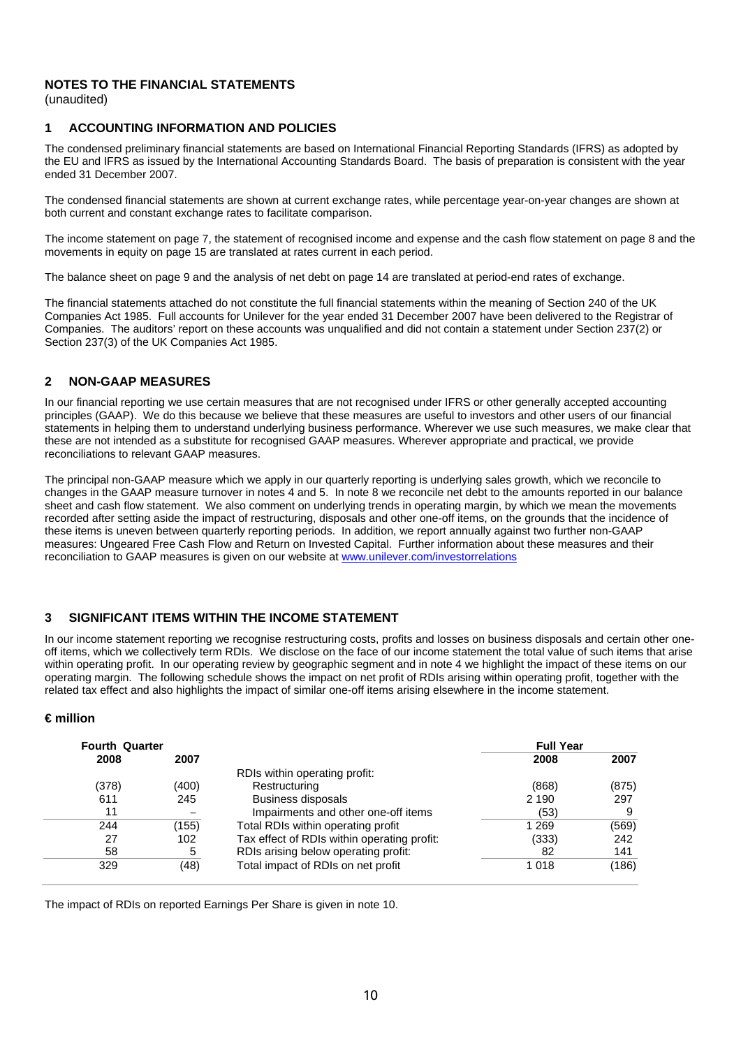(unaudited)

# **1 ACCOUNTING INFORMATION AND POLICIES**

The condensed preliminary financial statements are based on International Financial Reporting Standards (IFRS) as adopted by the EU and IFRS as issued by the International Accounting Standards Board. The basis of preparation is consistent with the year ended 31 December 2007.

The condensed financial statements are shown at current exchange rates, while percentage year-on-year changes are shown at both current and constant exchange rates to facilitate comparison.

The income statement on page 7, the statement of recognised income and expense and the cash flow statement on page 8 and the movements in equity on page 15 are translated at rates current in each period.

The balance sheet on page 9 and the analysis of net debt on page 14 are translated at period-end rates of exchange.

The financial statements attached do not constitute the full financial statements within the meaning of Section 240 of the UK Companies Act 1985. Full accounts for Unilever for the year ended 31 December 2007 have been delivered to the Registrar of Companies. The auditors' report on these accounts was unqualified and did not contain a statement under Section 237(2) or Section 237(3) of the UK Companies Act 1985.

# **2 NON-GAAP MEASURES**

In our financial reporting we use certain measures that are not recognised under IFRS or other generally accepted accounting principles (GAAP). We do this because we believe that these measures are useful to investors and other users of our financial statements in helping them to understand underlying business performance. Wherever we use such measures, we make clear that these are not intended as a substitute for recognised GAAP measures. Wherever appropriate and practical, we provide reconciliations to relevant GAAP measures.

 The principal non-GAAP measure which we apply in our quarterly reporting is underlying sales growth, which we reconcile to changes in the GAAP measure turnover in notes 4 and 5. In note 8 we reconcile net debt to the amounts reported in our balance sheet and cash flow statement. We also comment on underlying trends in operating margin, by which we mean the movements recorded after setting aside the impact of restructuring, disposals and other one-off items, on the grounds that the incidence of these items is uneven between quarterly reporting periods. In addition, we report annually against two further non-GAAP measures: Ungeared Free Cash Flow and Return on Invested Capital. Further information about these measures and their reconciliation to GAAP measures is given on our website at www.unilever.com/investorrelations

# **3 SIGNIFICANT ITEMS WITHIN THE INCOME STATEMENT**

 within operating profit. In our operating review by geographic segment and in note 4 we highlight the impact of these items on our In our income statement reporting we recognise restructuring costs, profits and losses on business disposals and certain other oneoff items, which we collectively term RDIs. We disclose on the face of our income statement the total value of such items that arise operating margin. The following schedule shows the impact on net profit of RDIs arising within operating profit, together with the related tax effect and also highlights the impact of similar one-off items arising elsewhere in the income statement.

# **€ million**

| <b>Fourth Quarter</b> |       |                                             | <b>Full Year</b> |       |
|-----------------------|-------|---------------------------------------------|------------------|-------|
| 2008                  | 2007  |                                             | 2008             | 2007  |
|                       |       | RDIs within operating profit:               |                  |       |
| (378)                 | (400) | Restructuring                               | (868)            | (875) |
| 611                   | 245   | <b>Business disposals</b>                   | 2 1 9 0          | 297   |
| 11                    |       | Impairments and other one-off items         | (53)             | 9     |
| 244                   | (155) | Total RDIs within operating profit          | 1 2 6 9          | (569) |
| 27                    | 102   | Tax effect of RDIs within operating profit: | (333)            | 242   |
| 58                    | 5     | RDIs arising below operating profit:        | 82               | 141   |
| 329                   | (48)  | Total impact of RDIs on net profit          | 1018             | (186) |
|                       |       |                                             |                  |       |

The impact of RDIs on reported Earnings Per Share is given in note 10.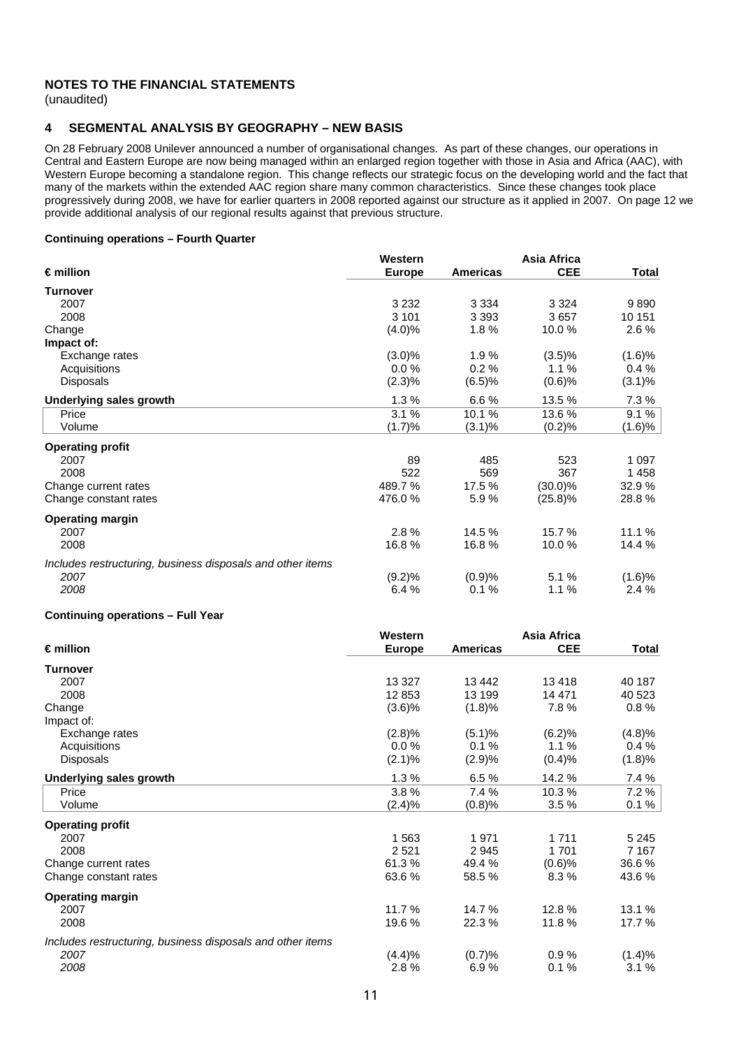(unaudited)

#### **4 SEGMENTAL ANALYSIS BY GEOGRAPHY – NEW BASIS**

On 28 February 2008 Unilever announced a number of organisational changes. As part of these changes, our operations in Central and Eastern Europe are now being managed within an enlarged region together with those in Asia and Africa (AAC), with Western Europe becoming a standalone region. This change reflects our strategic focus on the developing world and the fact that many of the markets within the extended AAC region share many common characteristics. Since these changes took place progressively during 2008, we have for earlier quarters in 2008 reported against our structure as it applied in 2007. On page 12 we provide additional analysis of our regional results against that previous structure.

#### **Continuing operations – Fourth Quarter**

|                                                            | Western       |                 | Asia Africa |           |
|------------------------------------------------------------|---------------|-----------------|-------------|-----------|
| $\epsilon$ million                                         | <b>Europe</b> | <b>Americas</b> | <b>CEE</b>  | Total     |
| <b>Turnover</b>                                            |               |                 |             |           |
| 2007                                                       | 3 2 3 2       | 3 3 3 4         | 3 3 2 4     | 9890      |
| 2008                                                       | 3 1 0 1       | 3 3 9 3         | 3657        | 10 151    |
| Change                                                     | (4.0)%        | 1.8%            | 10.0%       | 2.6 %     |
| Impact of:                                                 |               |                 |             |           |
| Exchange rates                                             | $(3.0)\%$     | 1.9%            | (3.5)%      | (1.6)%    |
| Acquisitions                                               | 0.0%          | 0.2%            | 1.1%        | 0.4%      |
| <b>Disposals</b>                                           | $(2.3)\%$     | (6.5)%          | (0.6)%      | $(3.1)\%$ |
| <b>Underlying sales growth</b>                             | 1.3%          | 6.6%            | 13.5 %      | 7.3%      |
| Price                                                      | 3.1%          | 10.1 %          | 13.6%       | 9.1%      |
| Volume                                                     | (1.7)%        | $(3.1)\%$       | (0.2)%      | $(1.6)\%$ |
| <b>Operating profit</b>                                    |               |                 |             |           |
| 2007                                                       | 89            | 485             | 523         | 1 0 9 7   |
| 2008                                                       | 522           | 569             | 367         | 1458      |
| Change current rates                                       | 489.7%        | 17.5 %          | $(30.0)\%$  | 32.9%     |
| Change constant rates                                      | 476.0%        | 5.9%            | $(25.8)\%$  | 28.8%     |
| <b>Operating margin</b>                                    |               |                 |             |           |
| 2007                                                       | 2.8%          | 14.5 %          | 15.7 %      | 11.1 %    |
| 2008                                                       | 16.8%         | 16.8%           | 10.0%       | 14.4 %    |
| Includes restructuring, business disposals and other items |               |                 |             |           |
| 2007                                                       | (9.2)%        | (0.9)%          | 5.1 %       | (1.6)%    |
| 2008                                                       | 6.4%          | 0.1%            | 1.1%        | 2.4%      |
|                                                            |               |                 |             |           |

#### **Continuing operations – Full Year**

|                                                            | Western       |                 | Asia Africa |              |
|------------------------------------------------------------|---------------|-----------------|-------------|--------------|
| $\epsilon$ million                                         | <b>Europe</b> | <b>Americas</b> | <b>CEE</b>  | <b>Total</b> |
| <b>Turnover</b>                                            |               |                 |             |              |
| 2007                                                       | 13 3 27       | 13 442          | 13418       | 40 187       |
| 2008                                                       | 12 853        | 13 199          | 14 471      | 40 523       |
| Change                                                     | (3.6)%        | (1.8)%          | 7.8%        | 0.8%         |
| Impact of:                                                 |               |                 |             |              |
| Exchange rates                                             | (2.8)%        | (5.1)%          | (6.2)%      | (4.8)%       |
| Acquisitions                                               | 0.0%          | 0.1%            | 1.1%        | 0.4%         |
| <b>Disposals</b>                                           | (2.1)%        | (2.9)%          | (0.4)%      | (1.8)%       |
| <b>Underlying sales growth</b>                             | 1.3%          | 6.5%            | 14.2 %      | 7.4 %        |
| Price                                                      | 3.8%          | 7.4 %           | 10.3%       | 7.2 %        |
| Volume                                                     | $(2.4)\%$     | (0.8)%          | 3.5%        | $0.1 \%$     |
| <b>Operating profit</b>                                    |               |                 |             |              |
| 2007                                                       | 1 5 6 3       | 1971            | 1 7 1 1     | 5 2 4 5      |
| 2008                                                       | 2521          | 2945            | 1701        | 7 1 6 7      |
| Change current rates                                       | 61.3%         | 49.4 %          | (0.6)%      | 36.6%        |
| Change constant rates                                      | 63.6%         | 58.5%           | 8.3%        | 43.6%        |
| <b>Operating margin</b>                                    |               |                 |             |              |
| 2007                                                       | 11.7 %        | 14.7 %          | 12.8%       | 13.1 %       |
| 2008                                                       | 19.6 %        | 22.3%           | 11.8%       | 17.7 %       |
| Includes restructuring, business disposals and other items |               |                 |             |              |
| 2007                                                       | (4.4)%        | (0.7)%          | 0.9%        | (1.4)%       |
| 2008                                                       | 2.8%          | 6.9%            | 0.1%        | 3.1%         |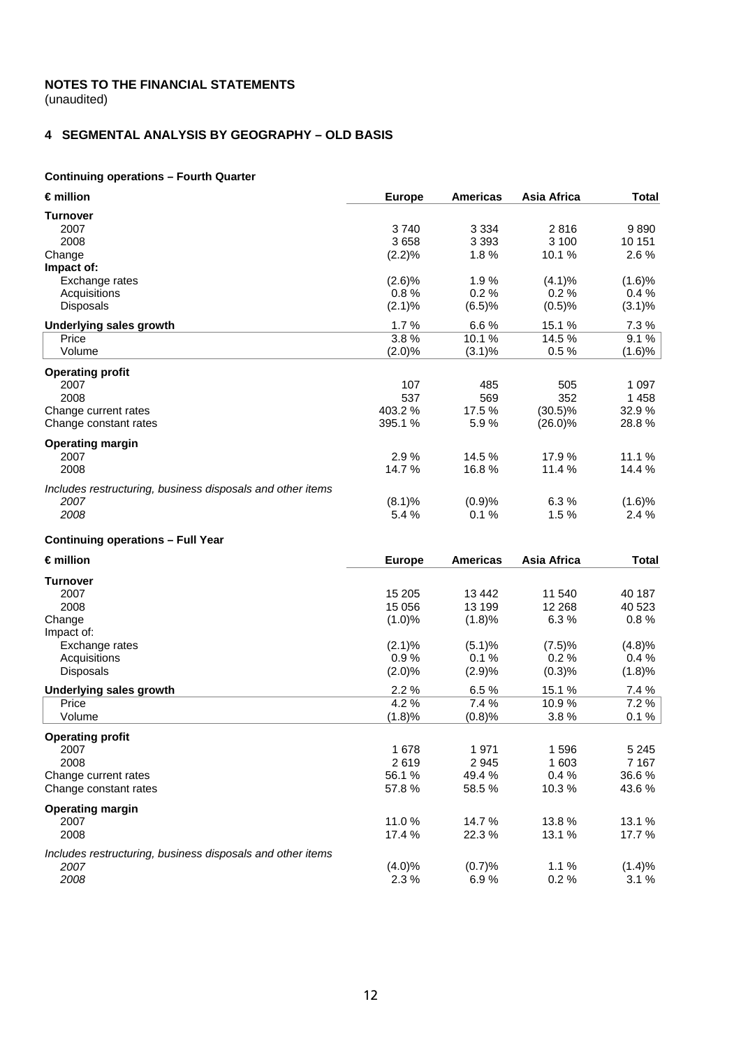# **NOTES TO THE FINANCIAL STATEMENTS**  (unaudited)

**4 SEGMENTAL ANALYSIS BY GEOGRAPHY – OLD BASIS** 

# **Continuing operations – Fourth Quarter**

| €million                                                   | <b>Europe</b> | <b>Americas</b> | Asia Africa | <b>Total</b> |
|------------------------------------------------------------|---------------|-----------------|-------------|--------------|
| <b>Turnover</b>                                            |               |                 |             |              |
| 2007                                                       | 3740          | 3 3 3 4         | 2816        | 9890         |
| 2008                                                       | 3658          | 3 3 9 3         | 3 100       | 10 151       |
| Change                                                     | (2.2)%        | 1.8%            | 10.1%       | 2.6%         |
| Impact of:                                                 |               |                 |             |              |
| Exchange rates                                             | (2.6)%        | 1.9%            | (4.1)%      | (1.6)%       |
| Acquisitions                                               | 0.8%          | 0.2%            | 0.2%        | 0.4%         |
| <b>Disposals</b>                                           | (2.1)%        | (6.5)%          | (0.5)%      | $(3.1)\%$    |
| <b>Underlying sales growth</b>                             | 1.7%          | 6.6%            | 15.1 %      | 7.3%         |
| Price                                                      | 3.8%          | 10.1%           | 14.5 %      | 9.1%         |
| Volume                                                     | (2.0)%        | $(3.1)\%$       | 0.5%        | $(1.6)\%$    |
| <b>Operating profit</b>                                    |               |                 |             |              |
| 2007                                                       | 107           | 485             | 505         | 1 0 9 7      |
| 2008                                                       | 537           | 569             | 352         | 1458         |
| Change current rates                                       | 403.2%        | 17.5 %          | $(30.5)\%$  | 32.9%        |
| Change constant rates                                      | 395.1 %       | 5.9%            | $(26.0)\%$  | 28.8%        |
|                                                            |               |                 |             |              |
| <b>Operating margin</b><br>2007                            | 2.9%          | 14.5 %          | 17.9%       | 11.1 %       |
| 2008                                                       | 14.7%         | 16.8%           | 11.4 %      | 14.4 %       |
|                                                            |               |                 |             |              |
| Includes restructuring, business disposals and other items |               |                 |             |              |
| 2007                                                       | (8.1)%        | (0.9)%          | 6.3%        | (1.6)%       |
| 2008                                                       | 5.4 %         | 0.1%            | 1.5%        | 2.4 %        |
| <b>Continuing operations - Full Year</b>                   |               |                 |             |              |
| $\epsilon$ million                                         | <b>Europe</b> | <b>Americas</b> | Asia Africa | <b>Total</b> |
| <b>Turnover</b>                                            |               |                 |             |              |
| 2007                                                       | 15 205        | 13 4 42         | 11 540      | 40 187       |
| 2008                                                       | 15 056        | 13 199          | 12 2 68     | 40 523       |
| Change                                                     | (1.0)%        | (1.8)%          | 6.3%        | 0.8%         |
| Impact of:                                                 |               |                 |             |              |
| Exchange rates                                             | (2.1)%        | (5.1)%          | (7.5)%      | (4.8)%       |
| Acquisitions                                               | 0.9%          | 0.1%            | $0.2 \%$    | 0.4%         |
| <b>Disposals</b>                                           | (2.0)%        | (2.9)%          | (0.3)%      | (1.8)%       |
| <b>Underlying sales growth</b>                             | 2.2%          | 6.5%            | 15.1 %      | 7.4 %        |
| Price                                                      | 4.2 %         | 7.4 %           | 10.9%       | 7.2 %        |
| Volume                                                     | (1.8)%        | (0.8)%          | 3.8%        | $0.1 \%$     |
| <b>Operating profit</b>                                    |               |                 |             |              |
| 2007                                                       | 1 678         | 1971            | 1596        | 5 2 4 5      |
| 2008                                                       | 2619          | 2 9 4 5         | 1 603       | 7 1 6 7      |
| Change current rates                                       | 56.1%         | 49.4 %          | 0.4%        | 36.6%        |
| Change constant rates                                      | 57.8%         | 58.5%           | 10.3%       | 43.6%        |
| <b>Operating margin</b>                                    |               |                 |             |              |
| 2007                                                       | 11.0%         | 14.7 %          | 13.8%       | 13.1 %       |
| 2008                                                       | 17.4 %        | 22.3%           | 13.1 %      | 17.7 %       |
| Includes restructuring, business disposals and other items |               |                 |             |              |
| 2007                                                       | (4.0)%        | (0.7)%          | 1.1%        | (1.4)%       |
| 2008                                                       | 2.3%          | 6.9%            | 0.2%        | 3.1%         |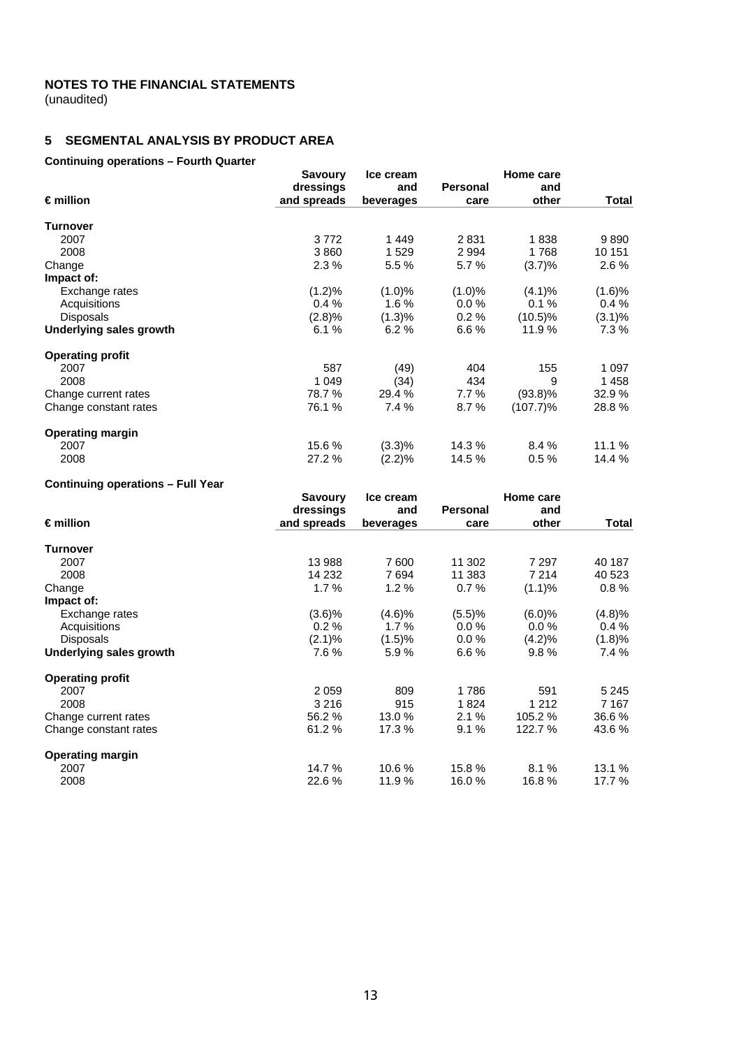(unaudited)

# **5 SEGMENTAL ANALYSIS BY PRODUCT AREA**

# **Continuing operations – Fourth Quarter**

|                         | <b>Savoury</b> | Ice cream |          | Home care   |           |
|-------------------------|----------------|-----------|----------|-------------|-----------|
|                         | dressings      | and       | Personal | and         |           |
| $\epsilon$ million      | and spreads    | beverages | care     | other       | Total     |
| Turnover                |                |           |          |             |           |
| 2007                    | 3772           | 1449      | 2831     | 1838        | 9890      |
| 2008                    | 3860           | 1529      | 2994     | 1768        | 10 151    |
| Change                  | 2.3%           | 5.5 %     | 5.7%     | (3.7)%      | $2.6\%$   |
| Impact of:              |                |           |          |             |           |
| Exchange rates          | (1.2)%         | $(1.0)\%$ | (1.0)%   | $(4.1)\%$   | (1.6)%    |
| Acquisitions            | 0.4%           | $1.6\%$   | 0.0%     | 0.1%        | 0.4%      |
| <b>Disposals</b>        | (2.8)%         | (1.3)%    | 0.2%     | $(10.5)\%$  | $(3.1)\%$ |
| Underlying sales growth | 6.1%           | 6.2%      | 6.6%     | 11.9%       | 7.3 %     |
| <b>Operating profit</b> |                |           |          |             |           |
| 2007                    | 587            | (49)      | 404      | 155         | 1 0 9 7   |
| 2008                    | 1 0 4 9        | (34)      | 434      | 9           | 1458      |
| Change current rates    | 78.7 %         | 29.4 %    | 7.7 %    | $(93.8)\%$  | 32.9 %    |
| Change constant rates   | 76.1 %         | 7.4 %     | 8.7%     | $(107.7)\%$ | 28.8%     |
| <b>Operating margin</b> |                |           |          |             |           |
| 2007                    | 15.6 %         | (3.3)%    | 14.3 %   | 8.4%        | 11.1%     |
| 2008                    | 27.2 %         | (2.2)%    | 14.5 %   | 0.5%        | 14.4 %    |

# **Continuing operations – Full Year**

|                         | <b>Savoury</b> | Ice cream |          | Home care |         |
|-------------------------|----------------|-----------|----------|-----------|---------|
| $\epsilon$ million      | dressings      | and       | Personal | and       |         |
|                         | and spreads    | beverages | care     | other     | Total   |
| <b>Turnover</b>         |                |           |          |           |         |
| 2007                    | 13 988         | 7600      | 11 302   | 7 2 9 7   | 40 187  |
| 2008                    | 14 232         | 7694      | 11 383   | 7 214     | 40 523  |
| Change                  | 1.7%           | 1.2%      | 0.7%     | (1.1)%    | 0.8%    |
| Impact of:              |                |           |          |           |         |
| Exchange rates          | (3.6)%         | (4.6)%    | (5.5)%   | (6.0)%    | (4.8)%  |
| Acquisitions            | 0.2%           | $1.7\%$   | $0.0\%$  | $0.0\%$   | 0.4%    |
| <b>Disposals</b>        | (2.1)%         | (1.5)%    | 0.0%     | (4.2)%    | (1.8)%  |
| Underlying sales growth | 7.6%           | 5.9%      | 6.6%     | 9.8%      | 7.4 %   |
| <b>Operating profit</b> |                |           |          |           |         |
| 2007                    | 2 0 5 9        | 809       | 1786     | 591       | 5 2 4 5 |
| 2008                    | 3 2 1 6        | 915       | 1824     | 1 2 1 2   | 7 1 6 7 |
| Change current rates    | 56.2%          | 13.0%     | 2.1%     | 105.2 %   | 36.6%   |
| Change constant rates   | 61.2%          | 17.3 %    | 9.1%     | 122.7 %   | 43.6 %  |
| <b>Operating margin</b> |                |           |          |           |         |
| 2007                    | 14.7 %         | 10.6%     | 15.8%    | 8.1%      | 13.1 %  |
| 2008                    | 22.6%          | 11.9%     | 16.0%    | 16.8%     | 17.7 %  |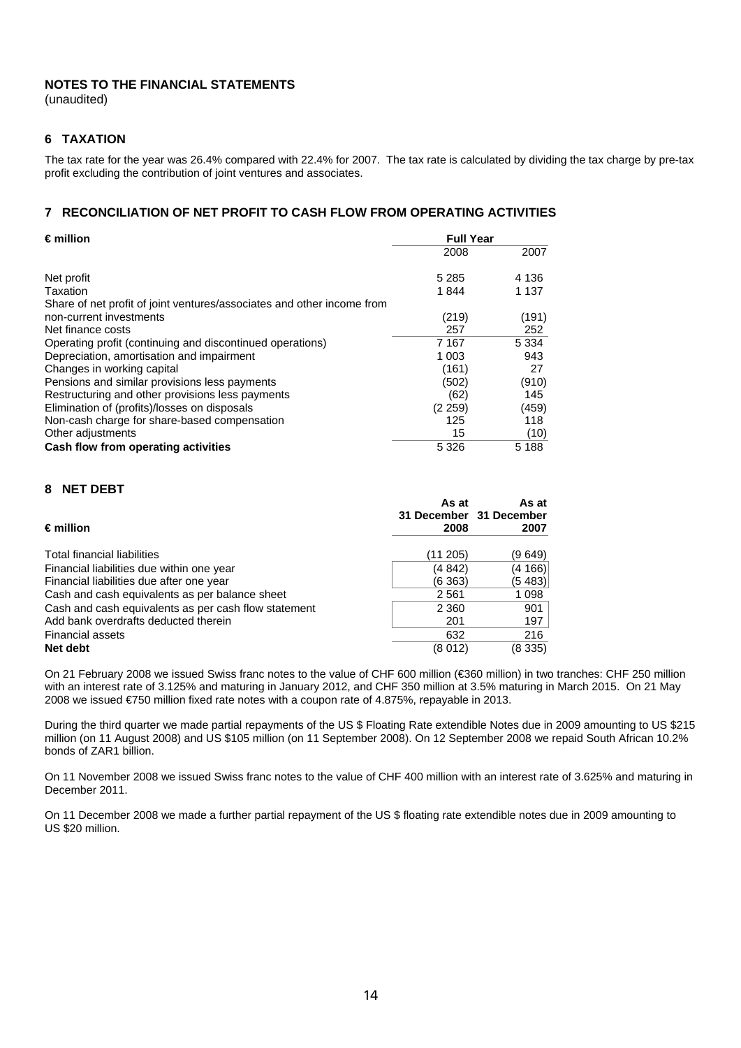(unaudited)

# **6 TAXATION**

The tax rate for the year was 26.4% compared with 22.4% for 2007. The tax rate is calculated by dividing the tax charge by pre-tax profit excluding the contribution of joint ventures and associates.

# **7 RECONCILIATION OF NET PROFIT TO CASH FLOW FROM OPERATING ACTIVITIES**

| $€$ million                                                            | <b>Full Year</b> |         |
|------------------------------------------------------------------------|------------------|---------|
|                                                                        | 2008             | 2007    |
| Net profit                                                             | 5 2 8 5          | 4 136   |
| Taxation                                                               | 1844             | 1 1 3 7 |
| Share of net profit of joint ventures/associates and other income from |                  |         |
| non-current investments                                                | (219)            | (191)   |
| Net finance costs                                                      | 257              | 252     |
| Operating profit (continuing and discontinued operations)              | 7 167            | 5 3 3 4 |
| Depreciation, amortisation and impairment                              | 1 003            | 943     |
| Changes in working capital                                             | (161)            | 27      |
| Pensions and similar provisions less payments                          | (502)            | (910)   |
| Restructuring and other provisions less payments                       | (62)             | 145     |
| Elimination of (profits)/losses on disposals                           | (2 259)          | (459)   |
| Non-cash charge for share-based compensation                           | 125              | 118     |
| Other adjustments                                                      | 15               | (10)    |
| Cash flow from operating activities                                    | 5 3 2 6          | 5 1 8 8 |

# **8 NET DEBT**

| $\epsilon$ million                                   | As at<br>31 December 31 December<br>2008 | As at<br>2007 |
|------------------------------------------------------|------------------------------------------|---------------|
|                                                      |                                          |               |
| Total financial liabilities                          | (11 205)                                 | (9 649)       |
| Financial liabilities due within one year            | (4 842)                                  | (4 166)       |
| Financial liabilities due after one year             | (6363)                                   | (5 483)       |
| Cash and cash equivalents as per balance sheet       | 2561                                     | 1 0 9 8       |
| Cash and cash equivalents as per cash flow statement | 2 3 6 0                                  | 901           |
| Add bank overdrafts deducted therein                 | 201                                      | 197           |
| <b>Financial assets</b>                              | 632                                      | 216           |
| Net debt                                             | (8012)                                   | (8335)        |

On 21 February 2008 we issued Swiss franc notes to the value of CHF 600 million (€360 million) in two tranches: CHF 250 million with an interest rate of 3.125% and maturing in January 2012, and CHF 350 million at 3.5% maturing in March 2015. On 21 May 2008 we issued €750 million fixed rate notes with a coupon rate of 4.875%, repayable in 2013.

During the third quarter we made partial repayments of the US \$ Floating Rate extendible Notes due in 2009 amounting to US \$215 million (on 11 August 2008) and US \$105 million (on 11 September 2008). On 12 September 2008 we repaid South African 10.2% bonds of ZAR1 billion.

On 11 November 2008 we issued Swiss franc notes to the value of CHF 400 million with an interest rate of 3.625% and maturing in December 2011.

On 11 December 2008 we made a further partial repayment of the US \$ floating rate extendible notes due in 2009 amounting to US \$20 million.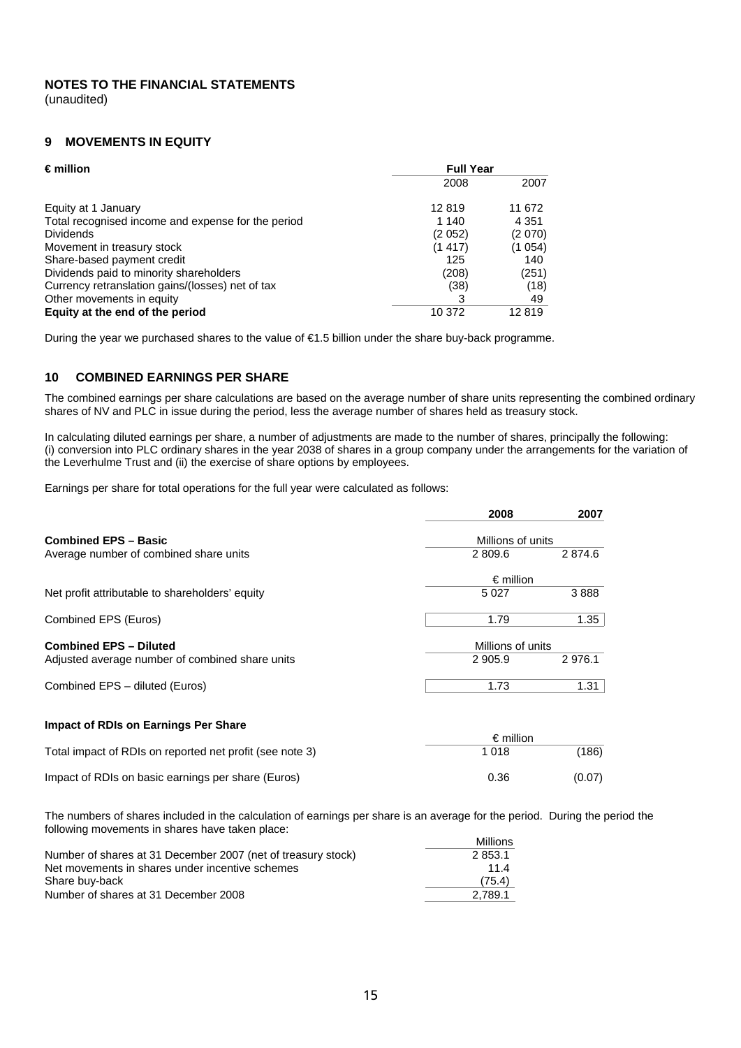#### **NOTES TO THE FINANCIAL STATEMENTS**  (unaudited)

#### **9 MOVEMENTS IN EQUITY**

| $\epsilon$ million                                 | <b>Full Year</b> |         |  |
|----------------------------------------------------|------------------|---------|--|
|                                                    | 2008             | 2007    |  |
| Equity at 1 January                                | 12819            | 11 672  |  |
| Total recognised income and expense for the period | 1 140            | 4 3 5 1 |  |
| <b>Dividends</b>                                   | (2052)           | (2070)  |  |
| Movement in treasury stock                         | (1417)           | (1054)  |  |
| Share-based payment credit                         | 125              | 140     |  |
| Dividends paid to minority shareholders            | (208)            | (251)   |  |
| Currency retranslation gains/(losses) net of tax   | (38)             | (18)    |  |
| Other movements in equity                          | 3                | 49      |  |
| Equity at the end of the period                    | 10 372           | 12819   |  |

During the year we purchased shares to the value of €1.5 billion under the share buy-back programme.

# **10 COMBINED EARNINGS PER SHARE**

The combined earnings per share calculations are based on the average number of share units representing the combined ordinary shares of NV and PLC in issue during the period, less the average number of shares held as treasury stock.

 In calculating diluted earnings per share, a number of adjustments are made to the number of shares, principally the following: (i) conversion into PLC ordinary shares in the year 2038 of shares in a group company under the arrangements for the variation of the Leverhulme Trust and (ii) the exercise of share options by employees.

Earnings per share for total operations for the full year were calculated as follows:

|                                                 | 2008               | 2007   |
|-------------------------------------------------|--------------------|--------|
| <b>Combined EPS - Basic</b>                     | Millions of units  |        |
| Average number of combined share units          | 2 809.6            | 2874.6 |
|                                                 | $\epsilon$ million |        |
| Net profit attributable to shareholders' equity | 5027               | 3888   |
| Combined EPS (Euros)                            | 1.79               | 1.35   |
| <b>Combined EPS - Diluted</b>                   | Millions of units  |        |
| Adjusted average number of combined share units | 2 9 0 5.9          | 2976.1 |
| Combined EPS - diluted (Euros)                  | 1.73               | 1.31   |
| Impact of RDIs on Earnings Per Share            |                    |        |

|                                                          | $\epsilon$ million |        |  |
|----------------------------------------------------------|--------------------|--------|--|
| Total impact of RDIs on reported net profit (see note 3) | 1 018              | (186)  |  |
| Impact of RDIs on basic earnings per share (Euros)       | 0.36               | (0.07) |  |

The numbers of shares included in the calculation of earnings per share is an average for the period. During the period the following movements in shares have taken place:

|                                                              | Millions |
|--------------------------------------------------------------|----------|
| Number of shares at 31 December 2007 (net of treasury stock) | 2853.1   |
| Net movements in shares under incentive schemes              | 114      |
| Share buv-back                                               | (75.4)   |
| Number of shares at 31 December 2008                         | 2.789.1  |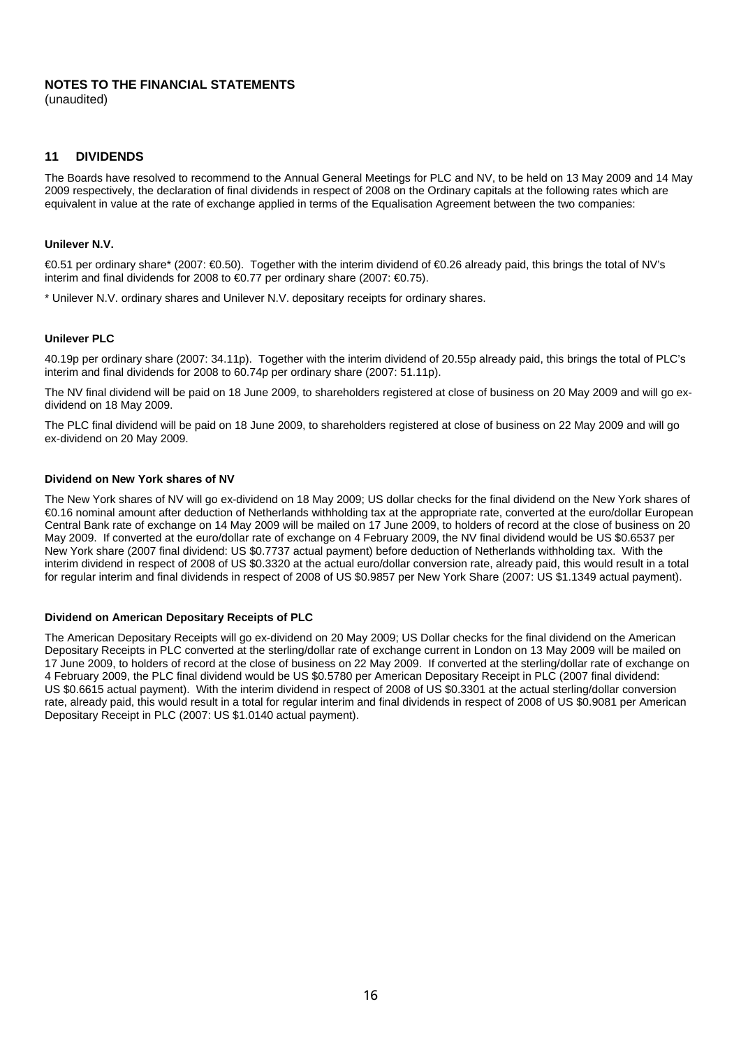(unaudited)

#### **11 DIVIDENDS**

The Boards have resolved to recommend to the Annual General Meetings for PLC and NV, to be held on 13 May 2009 and 14 May 2009 respectively, the declaration of final dividends in respect of 2008 on the Ordinary capitals at the following rates which are equivalent in value at the rate of exchange applied in terms of the Equalisation Agreement between the two companies:

#### **Unilever N.V.**

€0.51 per ordinary share\* (2007: €0.50). Together with the interim dividend of €0.26 already paid, this brings the total of NV's interim and final dividends for 2008 to €0.77 per ordinary share (2007: €0.75).

\* Unilever N.V. ordinary shares and Unilever N.V. depositary receipts for ordinary shares.

#### **Unilever PLC**

40.19p per ordinary share (2007: 34.11p). Together with the interim dividend of 20.55p already paid, this brings the total of PLC's interim and final dividends for 2008 to 60.74p per ordinary share (2007: 51.11p).

The NV final dividend will be paid on 18 June 2009, to shareholders registered at close of business on 20 May 2009 and will go exdividend on 18 May 2009.

The PLC final dividend will be paid on 18 June 2009, to shareholders registered at close of business on 22 May 2009 and will go ex-dividend on 20 May 2009.

#### **Dividend on New York shares of NV**

The New York shares of NV will go ex-dividend on 18 May 2009; US dollar checks for the final dividend on the New York shares of €0.16 nominal amount after deduction of Netherlands withholding tax at the appropriate rate, converted at the euro/dollar European Central Bank rate of exchange on 14 May 2009 will be mailed on 17 June 2009, to holders of record at the close of business on 20 May 2009. If converted at the euro/dollar rate of exchange on 4 February 2009, the NV final dividend would be US \$0.6537 per New York share (2007 final dividend: US \$0.7737 actual payment) before deduction of Netherlands withholding tax. With the interim dividend in respect of 2008 of US \$0.3320 at the actual euro/dollar conversion rate, already paid, this would result in a total for regular interim and final dividends in respect of 2008 of US \$0.9857 per New York Share (2007: US \$1.1349 actual payment).

#### **Dividend on American Depositary Receipts of PLC**

The American Depositary Receipts will go ex-dividend on 20 May 2009; US Dollar checks for the final dividend on the American Depositary Receipts in PLC converted at the sterling/dollar rate of exchange current in London on 13 May 2009 will be mailed on 17 June 2009, to holders of record at the close of business on 22 May 2009. If converted at the sterling/dollar rate of exchange on 4 February 2009, the PLC final dividend would be US \$0.5780 per American Depositary Receipt in PLC (2007 final dividend: US \$0.6615 actual payment). With the interim dividend in respect of 2008 of US \$0.3301 at the actual sterling/dollar conversion rate, already paid, this would result in a total for regular interim and final dividends in respect of 2008 of US \$0.9081 per American Depositary Receipt in PLC (2007: US \$1.0140 actual payment).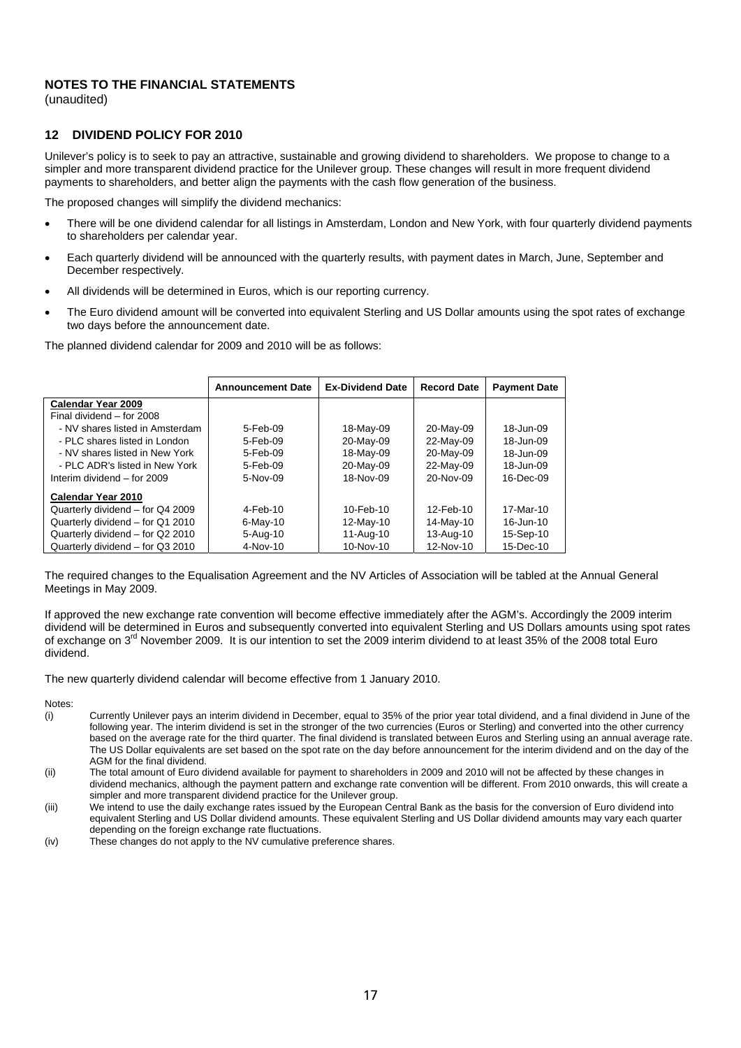(unaudited)

#### **12 DIVIDEND POLICY FOR 2010**

Unilever's policy is to seek to pay an attractive, sustainable and growing dividend to shareholders. We propose to change to a simpler and more transparent dividend practice for the Unilever group. These changes will result in more frequent dividend payments to shareholders, and better align the payments with the cash flow generation of the business.

The proposed changes will simplify the dividend mechanics:

- There will be one dividend calendar for all listings in Amsterdam, London and New York, with four quarterly dividend payments to shareholders per calendar year.
- Each quarterly dividend will be announced with the quarterly results, with payment dates in March, June, September and December respectively.
- All dividends will be determined in Euros, which is our reporting currency.
- The Euro dividend amount will be converted into equivalent Sterling and US Dollar amounts using the spot rates of exchange two days before the announcement date.

The planned dividend calendar for 2009 and 2010 will be as follows:

|                                  | <b>Announcement Date</b> | <b>Ex-Dividend Date</b> | <b>Record Date</b> | <b>Payment Date</b> |
|----------------------------------|--------------------------|-------------------------|--------------------|---------------------|
| Calendar Year 2009               |                          |                         |                    |                     |
| Final dividend - for 2008        |                          |                         |                    |                     |
| - NV shares listed in Amsterdam  | 5-Feb-09                 | 18-May-09               | 20-May-09          | 18-Jun-09           |
| - PLC shares listed in London    | 5-Feb-09                 | 20-May-09               | 22-May-09          | 18-Jun-09           |
| - NV shares listed in New York   | 5-Feb-09                 | 18-May-09               | 20-May-09          | 18-Jun-09           |
| - PLC ADR's listed in New York   | 5-Feb-09                 | 20-May-09               | 22-May-09          | 18-Jun-09           |
| Interim dividend - for 2009      | 5-Nov-09                 | 18-Nov-09               | 20-Nov-09          | 16-Dec-09           |
| Calendar Year 2010               |                          |                         |                    |                     |
| Quarterly dividend - for Q4 2009 | 4-Feb-10                 | 10-Feb-10               | 12-Feb-10          | 17-Mar-10           |
| Quarterly dividend - for Q1 2010 | $6$ -May-10              | 12-May-10               | 14-May-10          | 16-Jun-10           |
| Quarterly dividend - for Q2 2010 | 5-Aug-10                 | 11-Aug-10               | 13-Aug-10          | 15-Sep-10           |
| Quarterly dividend - for Q3 2010 | 4-Nov-10                 | 10-Nov-10               | 12-Nov-10          | 15-Dec-10           |

The required changes to the Equalisation Agreement and the NV Articles of Association will be tabled at the Annual General Meetings in May 2009.

If approved the new exchange rate convention will become effective immediately after the AGM's. Accordingly the 2009 interim dividend will be determined in Euros and subsequently converted into equivalent Sterling and US Dollars amounts using spot rates of exchange on 3<sup>rd</sup> November 2009. It is our intention to set the 2009 interim dividend to at least 35% of the 2008 total Euro dividend.

The new quarterly dividend calendar will become effective from 1 January 2010.

Notes:

- (i) Currently Unilever pays an interim dividend in December, equal to 35% of the prior year total dividend, and a final dividend in June of the following year. The interim dividend is set in the stronger of the two currencies (Euros or Sterling) and converted into the other currency based on the average rate for the third quarter. The final dividend is translated between Euros and Sterling using an annual average rate. The US Dollar equivalents are set based on the spot rate on the day before announcement for the interim dividend and on the day of the AGM for the final dividend.
- (ii) The total amount of Euro dividend available for payment to shareholders in 2009 and 2010 will not be affected by these changes in dividend mechanics, although the payment pattern and exchange rate convention will be different. From 2010 onwards, this will create a simpler and more transparent dividend practice for the Unilever group.
- (iii) We intend to use the daily exchange rates issued by the European Central Bank as the basis for the conversion of Euro dividend into equivalent Sterling and US Dollar dividend amounts. These equivalent Sterling and US Dollar dividend amounts may vary each quarter depending on the foreign exchange rate fluctuations.
- (iv) These changes do not apply to the NV cumulative preference shares.